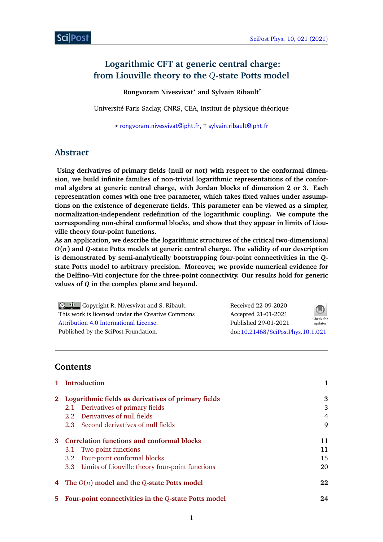# **Logarithmic CFT at generic central charge: from Liouville theory to the** *Q***-state Potts model**

**Rongvoram Nivesvivat***?* **and Sylvain Ribault**†

Université Paris-Saclay, CNRS, CEA, Institut de physique théorique

*?* [rongvoram.nivesvivat@ipht.fr](mailto:rongvoram.nivesvivat@ipht.fr), † [sylvain.ribault@ipht.fr](mailto:sylvain.ribault@ipht.fr)

# **Abstract**

**Using derivatives of primary fields (null or not) with respect to the conformal dimension, we build infinite families of non-trivial logarithmic representations of the conformal algebra at generic central charge, with Jordan blocks of dimension 2 or 3. Each representation comes with one free parameter, which takes fixed values under assumptions on the existence of degenerate fields. This parameter can be viewed as a simpler, normalization-independent redefinition of the logarithmic coupling. We compute the corresponding non-chiral conformal blocks, and show that they appear in limits of Liouville theory four-point functions.**

**As an application, we describe the logarithmic structures of the critical two-dimensional** *O***(***n***) and** *Q***-state Potts models at generic central charge. The validity of our description is demonstrated by semi-analytically bootstrapping four-point connectivities in the** *Q***state Potts model to arbitrary precision. Moreover, we provide numerical evidence for the Delfino–Viti conjecture for the three-point connectivity. Our results hold for generic values of** *Q* **in the complex plane and beyond.**

**C Q** Copyright R. Nivesvivat and S. Ribault. This work is licensed under the Creative Commons [Attribution 4.0 International License.](http://creativecommons.org/licenses/by/4.0/) Published by the SciPost Foundation.

Received 22-09-2020 Accepted 21-01-2021 Published 29-01-2021 Check for updates doi:10.21468/[SciPostPhys.10.1.021](https://doi.org/10.21468/SciPostPhys.10.1.021)

# **Contents**

| <b>Introduction</b> |                                                              | 1  |
|---------------------|--------------------------------------------------------------|----|
| $2^{\circ}$         | Logarithmic fields as derivatives of primary fields          | 3  |
|                     | 2.1 Derivatives of primary fields                            | 3  |
|                     | 2.2 Derivatives of null fields                               | 4  |
|                     | 2.3 Second derivatives of null fields                        | 9  |
| 3                   | <b>Correlation functions and conformal blocks</b>            | 11 |
|                     | 3.1 Two-point functions                                      | 11 |
|                     | 3.2 Four-point conformal blocks                              | 15 |
|                     | 3.3 Limits of Liouville theory four-point functions          | 20 |
|                     | 4 The $O(n)$ model and the Q-state Potts model               |    |
|                     | 5 Four-point connectivities in the Q-state Potts model<br>24 |    |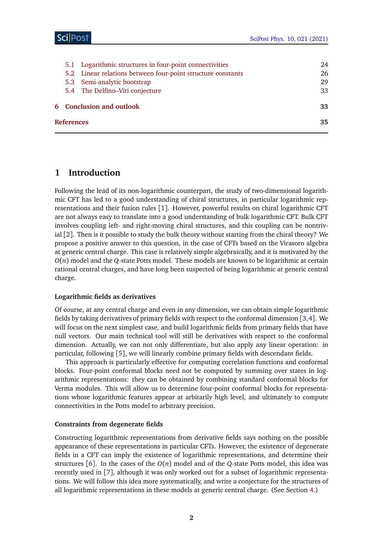|                                 |                  | 5.1 Logarithmic structures in four-point connectivities     | 24 |  |
|---------------------------------|------------------|-------------------------------------------------------------|----|--|
|                                 |                  | 5.2 Linear relations between four-point structure constants | 26 |  |
|                                 |                  | 5.3 Semi-analytic bootstrap                                 | 29 |  |
|                                 |                  | 5.4 The Delfino-Viti conjecture                             | 33 |  |
| <b>6</b> Conclusion and outlook |                  | 33                                                          |    |  |
|                                 | References<br>35 |                                                             |    |  |

# <span id="page-1-0"></span>**1 Introduction**

Following the lead of its non-logarithmic counterpart, the study of two-dimensional logarithmic CFT has led to a good understanding of chiral structures, in particular logarithmic representations and their fusion rules [[1](#page-34-1)]. However, powerful results on chiral logarithmic CFT are not always easy to translate into a good understanding of bulk logarithmic CFT. Bulk CFT involves coupling left- and right-moving chiral structures, and this coupling can be nontrivial [[2](#page-34-2)]. Then is it possible to study the bulk theory without starting from the chiral theory? We propose a positive answer to this question, in the case of CFTs based on the Virasoro algebra at generic central charge. This case is relatively simple algebraically, and it is motivated by the *O*(*n*) model and the *Q*-state Potts model. These models are known to be logarithmic at certain rational central charges, and have long been suspected of being logarithmic at generic central charge.

#### **Logarithmic fields as derivatives**

Of course, at any central charge and even in any dimension, we can obtain simple logarithmic fields by taking derivatives of primary fields with respect to the conformal dimension [[3,](#page-34-3)[4](#page-34-4)]. We will focus on the next simplest case, and build logarithmic fields from primary fields that have null vectors. Our main technical tool will still be derivatives with respect to the conformal dimension. Actually, we can not only differentiate, but also apply any linear operation: in particular, following [[5](#page-34-5)], we will linearly combine primary fields with descendant fields.

This approach is particularly effective for computing correlation functions and conformal blocks. Four-point conformal blocks need not be computed by summing over states in logarithmic representations: they can be obtained by combining standard conformal blocks for Verma modules. This will allow us to determine four-point conformal blocks for representations whose logarithmic features appear at arbitarily high level, and ultimately to compute connectivities in the Potts model to arbitrary precision.

#### **Constraints from degenerate fields**

Constructing logarithmic representations from derivative fields says nothing on the possible appearance of these representations in particular CFTs. However, the existence of degenerate fields in a CFT can imply the existence of logarithmic representations, and determine their structures [[6](#page-35-0)]. In the cases of the  $O(n)$  model and of the *Q*-state Potts model, this idea was recently used in [[7](#page-35-1)], although it was only worked out for a subset of logarithmic representations. We will follow this idea more systematically, and write a conjecture for the structures of all logarithmic representations in these models at generic central charge. (See Section [4.](#page-21-0))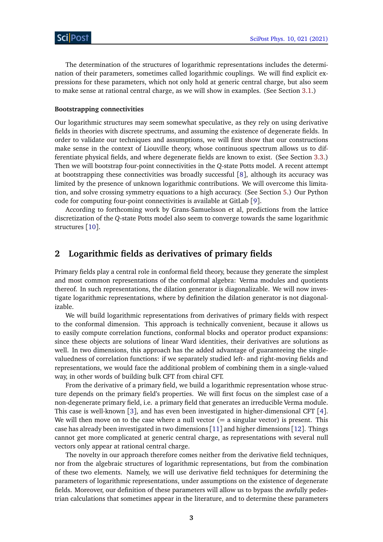The determination of the structures of logarithmic representations includes the determination of their parameters, sometimes called logarithmic couplings. We will find explicit expressions for these parameters, which not only hold at generic central charge, but also seem to make sense at rational central charge, as we will show in examples. (See Section [3.1.](#page-10-1))

#### **Bootstrapping connectivities**

Our logarithmic structures may seem somewhat speculative, as they rely on using derivative fields in theories with discrete spectrums, and assuming the existence of degenerate fields. In order to validate our techniques and assumptions, we will first show that our constructions make sense in the context of Liouville theory, whose continuous spectrum allows us to differentiate physical fields, and where degenerate fields are known to exist. (See Section [3.3.](#page-19-0)) Then we will bootstrap four-point connectivities in the *Q*-state Potts model. A recent attempt at bootstrapping these connectivities was broadly successful [[8](#page-35-2)], although its accuracy was limited by the presence of unknown logarithmic contributions. We will overcome this limitation, and solve crossing symmetry equations to a high accuracy. (See Section [5.](#page-24-0)) Our Python code for computing four-point connectivities is available at GitLab [[9](#page-35-3)].

According to forthcoming work by Grans-Samuelsson et al, predictions from the lattice discretization of the *Q*-state Potts model also seem to converge towards the same logarithmic structures [[10](#page-35-4)].

# <span id="page-2-0"></span>**2 Logarithmic fields as derivatives of primary fields**

Primary fields play a central role in conformal field theory, because they generate the simplest and most common representations of the conformal algebra: Verma modules and quotients thereof. In such representations, the dilation generator is diagonalizable. We will now investigate logarithmic representations, where by definition the dilation generator is not diagonalizable.

We will build logarithmic representations from derivatives of primary fields with respect to the conformal dimension. This approach is technically convenient, because it allows us to easily compute correlation functions, conformal blocks and operator product expansions: since these objects are solutions of linear Ward identities, their derivatives are solutions as well. In two dimensions, this approach has the added advantage of guaranteeing the singlevaluedness of correlation functions: if we separately studied left- and right-moving fields and representations, we would face the additional problem of combining them in a single-valued way, in other words of building bulk CFT from chiral CFT.

From the derivative of a primary field, we build a logarithmic representation whose structure depends on the primary field's properties. We will first focus on the simplest case of a non-degenerate primary field, i.e. a primary field that generates an irreducible Verma module. This case is well-known [[3](#page-34-3)], and has even been investigated in higher-dimensional CFT [[4](#page-34-4)]. We will then move on to the case where a null vector  $(= a \text{ singular vector})$  is present. This case has already been investigated in two dimensions [[11](#page-35-5)] and higher dimensions [[12](#page-35-6)]. Things cannot get more complicated at generic central charge, as representations with several null vectors only appear at rational central charge.

The novelty in our approach therefore comes neither from the derivative field techniques, nor from the algebraic structures of logarithmic representations, but from the combination of these two elements. Namely, we will use derivative field techniques for determining the parameters of logarithmic representations, under assumptions on the existence of degenerate fields. Moreover, our definition of these parameters will allow us to bypass the awfully pedestrian calculations that sometimes appear in the literature, and to determine these parameters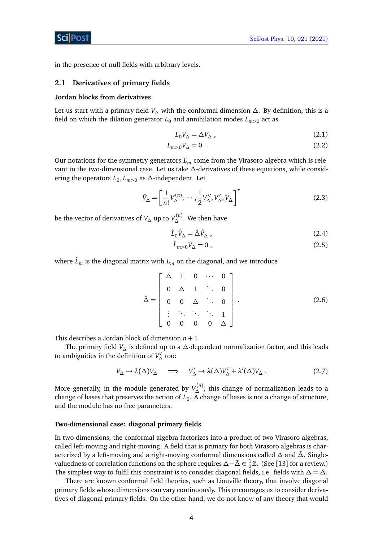in the presence of null fields with arbitrary levels.

#### <span id="page-3-0"></span>**2.1 Derivatives of primary fields**

#### **Jordan blocks from derivatives**

Let us start with a primary field *V<sup>∆</sup>* with the conformal dimension *∆*. By definition, this is a field on which the dilation generator  $L_0$  and annihilation modes  $L_{m>0}$  act as

$$
L_0 V_\Delta = \Delta V_\Delta \,,\tag{2.1}
$$

$$
L_{m>0}V_{\Delta}=0\ .\tag{2.2}
$$

Our notations for the symmetry generators *L<sup>m</sup>* come from the Virasoro algebra which is relevant to the two-dimensional case. Let us take *∆*-derivatives of these equations, while considering the operators *L*<sup>0</sup> , *Lm>*<sup>0</sup> as *∆*-independent. Let

$$
\hat{V}_{\Delta} = \left[\frac{1}{n!}V_{\Delta}^{(n)}, \cdots, \frac{1}{2}V_{\Delta}^{\prime\prime}, V_{\Delta}^{\prime}, V_{\Delta}\right]^{T}
$$
\n(2.3)

be the vector of derivatives of  $V_\Delta$  up to  $V_\Delta^{(n)}$ . We then have

<span id="page-3-3"></span>
$$
\hat{L}_0 \hat{V}_\Delta = \hat{\Delta} \hat{V}_\Delta \,, \tag{2.4}
$$

<span id="page-3-2"></span><span id="page-3-1"></span>
$$
\hat{L}_{m>0}\hat{V}_{\Delta}=0\,,\tag{2.5}
$$

where  $\hat{L}_m$  is the diagonal matrix with  $L_m$  on the diagonal, and we introduce

$$
\hat{\Delta} = \begin{bmatrix} \Delta & 1 & 0 & \cdots & 0 \\ 0 & \Delta & 1 & \ddots & 0 \\ 0 & 0 & \Delta & \ddots & 0 \\ \vdots & \ddots & \ddots & \ddots & 1 \\ 0 & 0 & 0 & 0 & \Delta \end{bmatrix} .
$$
 (2.6)

This describes a Jordan block of dimension  $n + 1$ .

The primary field *V<sup>∆</sup>* is defined up to a *∆*-dependent normalization factor, and this leads to ambiguities in the definition of  $V'_{\lambda}$ *∆* too:

$$
V_{\Delta} \to \lambda(\Delta)V_{\Delta} \quad \Longrightarrow \quad V_{\Delta}' \to \lambda(\Delta)V_{\Delta}' + \lambda'(\Delta)V_{\Delta} \ . \tag{2.7}
$$

More generally, in the module generated by  $V_{\Delta}^{(n)}$ , this change of normalization leads to a change of bases that preserves the action of  $L_0$ . A change of bases is not a change of structure, and the module has no free parameters.

#### **Two-dimensional case: diagonal primary fields**

In two dimensions, the conformal algebra factorizes into a product of two Virasoro algebras, called left-moving and right-moving. A field that is primary for both Virasoro algebras is characterized by a left-moving and a right-moving conformal dimensions called  $\Delta$  and  $\bar{\Delta}$ . Singlevaluedness of correlation functions on the sphere requires  $\Delta-\bar{\Delta}\in \frac{1}{2}\mathbb{Z}$ . (See [[13](#page-35-7)] for a review.) The simplest way to fulfil this constraint is to consider diagonal fields, i.e. fields with  $\Delta = \Delta$ .

There are known conformal field theories, such as Liouville theory, that involve diagonal primary fields whose dimensions can vary continuously. This encourages us to consider derivatives of diagonal primary fields. On the other hand, we do not know of any theory that would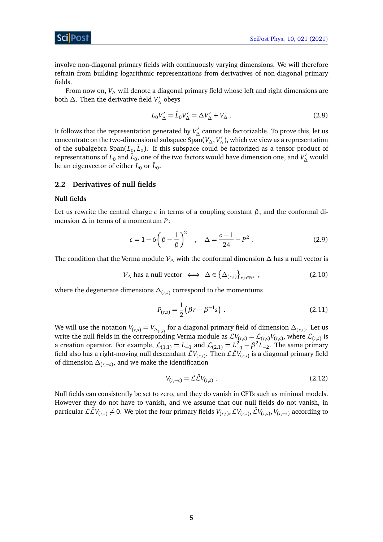

involve non-diagonal primary fields with continuously varying dimensions. We will therefore refrain from building logarithmic representations from derivatives of non-diagonal primary fields.

From now on, *V<sup>∆</sup>* will denote a diagonal primary field whose left and right dimensions are both *∆*. Then the derivative field *V* 0 *∆* obeys

<span id="page-4-1"></span>
$$
L_0 V'_{\Delta} = \bar{L}_0 V'_{\Delta} = \Delta V'_{\Delta} + V_{\Delta} \tag{2.8}
$$

It follows that the representation generated by  $V'_{\Delta}$  cannot be factorizable. To prove this, let us  $\alpha$  bolows that the representation generated by  $v_{\Delta}$  cannot concentrate on the two-dimensional subspace Span $(V_{\Delta}, V_{\Delta}')$ *∆* ), which we view as a representation of the subalgebra  $\text{Span}(L_0, \bar{L}_0)$ . If this subspace could be factorized as a tensor product of representations of  $L_0$  and  $\bar{L}_0$ , one of the two factors would have dimension one, and  $V'_\Delta$  would be an eigenvector of either  $L_0$  or  $\bar{L}_0$ .

### <span id="page-4-0"></span>**2.2 Derivatives of null fields**

#### **Null fields**

Let us rewrite the central charge *c* in terms of a coupling constant  $\beta$ , and the conformal dimension *∆* in terms of a momentum *P*:

$$
c = 1 - 6\left(\beta - \frac{1}{\beta}\right)^2 \quad , \quad \Delta = \frac{c - 1}{24} + P^2 \,. \tag{2.9}
$$

The condition that the Verma module V*<sup>∆</sup>* with the conformal dimension *∆* has a null vector is

$$
\mathcal{V}_{\Delta} \text{ has a null vector} \iff \Delta \in \left\{ \Delta_{(r,s)} \right\}_{r,s \in \mathbb{N}^*}, \tag{2.10}
$$

where the degenerate dimensions  $\Delta_{(r,s)}$  correspond to the momentums

<span id="page-4-5"></span><span id="page-4-4"></span><span id="page-4-3"></span>
$$
P_{(r,s)} = \frac{1}{2} \left( \beta r - \beta^{-1} s \right) \,. \tag{2.11}
$$

We will use the notation  $V_{(r,s)} = V_{\Delta_{(r,s)}}$  for a diagonal primary field of dimension  $\Delta_{(r,s)}$ . Let us write the null fields in the corresponding Verma module as  $\mathcal{L}V_{(r,s)} = \mathcal{L}_{(r,s)}V_{(r,s)}$ , where  $\mathcal{L}_{(r,s)}$  is a creation operator. For example,  $\mathcal{L}_{(1,1)} = L_{-1}$  and  $\mathcal{L}_{(2,1)} = L_{-1}^2 - \beta^2 L_{-2}$ . The same primary field also has a right-moving null descendant  $\bar{\mathcal{L}}V_{(r,s)}.$  Then  $\mathcal{L}\bar{\mathcal{L}}V_{(r,s)}$  is a diagonal primary field of dimension *∆*(*r*,−*s*) , and we make the identification

<span id="page-4-2"></span>
$$
V_{(r,-s)} = \mathcal{L}\bar{\mathcal{L}}V_{(r,s)}\,. \tag{2.12}
$$

Null fields can consistently be set to zero, and they do vanish in CFTs such as minimal models. However they do not have to vanish, and we assume that our null fields do not vanish, in  $\text{particular } \mathcal{L} \bar{\mathcal{L}} V_{(r,s)} \neq 0.$  We plot the four primary fields  $V_{(r,s)}, \mathcal{L} V_{(r,s)}, \bar{\mathcal{L}} V_{(r,s)}, V_{(r,-s)}$  according to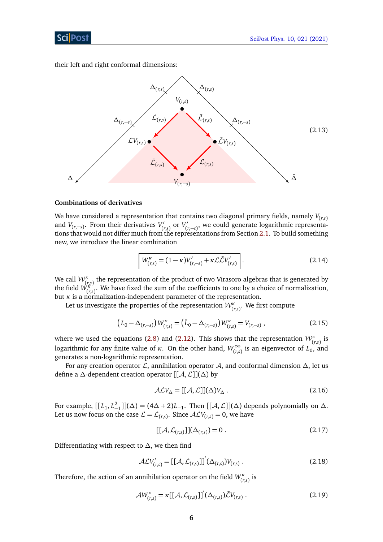their left and right conformal dimensions:



#### **Combinations of derivatives**

We have considered a representation that contains two diagonal primary fields, namely  $V_{(r,s)}$ and *V*<sub>(*r*,−*s*)</sub>. From their derivatives *V*<sup> $\prime$ </sup><sub>(*i*</sub>  $\binom{r}{r,s}$  or  $V'_{(s)}$ (*r*,−*s*) , we could generate logarithmic representations that would not differ much from the representations from Section [2.1.](#page-3-0) To build something new, we introduce the linear combination

<span id="page-5-1"></span>
$$
W_{(r,s)}^{\kappa} = (1 - \kappa)V'_{(r,-s)} + \kappa \mathcal{L}\bar{\mathcal{L}}V'_{(r,s)}\tag{2.14}
$$

We call  $W_{(r,s)}^{\kappa}$  the representation of the product of two Virasoro algebras that is generated by the field  $W_{(r,s)}^{k}$ . We have fixed the sum of the coefficients to one by a choice of normalization, but  $\kappa$  is a normalization-independent parameter of the representation.

Let us investigate the properties of the representation  $\mathcal{W}^{\kappa}_{(r,s)}.$  We first compute

$$
\left(L_0 - \Delta_{(r,-s)}\right) W_{(r,s)}^{\kappa} = \left(\bar{L}_0 - \Delta_{(r,-s)}\right) W_{(r,s)}^{\kappa} = V_{(r,-s)}\,,\tag{2.15}
$$

where we used the equations [\(2.8\)](#page-4-1) and [\(2.12\)](#page-4-2). This shows that the representation  $W^{\kappa}_{(r,s)}$  is logarithmic for any finite value of  $\kappa$ . On the other hand,  $W_{(r,s)}^{\infty}$  is an eigenvector of  $L_0$ , and generates a non-logarithmic representation.

For any creation operator L, annihilation operator A, and conformal dimension *∆*, let us define a *∆*-dependent creation operator [[A,L]](*∆*) by

<span id="page-5-2"></span>
$$
\mathcal{ALV}_{\Delta} = [[\mathcal{A}, \mathcal{L}]](\Delta)V_{\Delta} . \tag{2.16}
$$

For example,  $[[L_1, L_{-1}^2]](\Delta) = (4\Delta + 2)L_{-1}$ . Then  $[[A, \mathcal{L}]](\Delta)$  depends polynomially on  $\Delta$ . Let us now focus on the case  $\mathcal{L} = \mathcal{L}_{(r,s)}$ . Since  $\mathcal{ALV}_{(r,s)} = 0$ , we have

<span id="page-5-0"></span>
$$
[[\mathcal{A}, \mathcal{L}_{(r,s)}]](\Delta_{(r,s)}) = 0.
$$
\n(2.17)

Differentiating with respect to *∆*, we then find

$$
\mathcal{ALV}'_{(r,s)} = [[\mathcal{A}, \mathcal{L}_{(r,s)}]]'(\Delta_{(r,s)})V_{(r,s)}.
$$
\n(2.18)

Therefore, the action of an annihilation operator on the field  $W^{\kappa}_{(r,s)}$  is

$$
\mathcal{A}W_{(r,s)}^{\kappa} = \kappa \big[ [\mathcal{A}, \mathcal{L}_{(r,s)}] \big]^{'} (\Delta_{(r,s)}) \bar{\mathcal{L}} V_{(r,s)} . \tag{2.19}
$$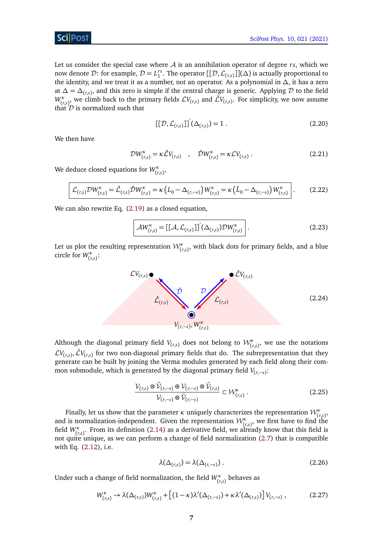Let us consider the special case where A is an annihilation operator of degree *rs*, which we now denote  $\mathcal{D}$ : for example,  $\mathcal{D} = L_1^{rs}$ . The operator  $[[\mathcal{D}, \mathcal{L}_{(r,s)}]](\Delta)$  is actually proportional to the identity, and we treat it as a number, not an operator. As a polynomial in *∆*, it has a zero at *∆* = *∆*(*r*,*s*) , and this zero is simple if the central charge is generic. Applying D to the field  $W^{\kappa}_{(r,s)}$ , we climb back to the primary fields  $\mathcal{L}V_{(r,s)}$  and  $\bar{\mathcal{L}}V_{(r,s)}$ . For simplicity, we now assume that  $\mathcal D$  is normalized such that

<span id="page-6-3"></span><span id="page-6-0"></span>
$$
[[\mathcal{D}, \mathcal{L}_{(r,s)}]]'(\Delta_{(r,s)}) = 1.
$$
\n(2.20)

We then have

$$
\mathcal{D}W_{(r,s)}^{\kappa} = \kappa \bar{\mathcal{L}}V_{(r,s)} \quad , \quad \bar{\mathcal{D}}W_{(r,s)}^{\kappa} = \kappa \mathcal{L}V_{(r,s)} \,. \tag{2.21}
$$

We deduce closed equations for *W<sup>κ</sup>* (*r*,*s*) ,

$$
\mathcal{L}_{(r,s)} \mathcal{D} W_{(r,s)}^{\kappa} = \bar{\mathcal{L}}_{(r,s)} \bar{\mathcal{D}} W_{(r,s)}^{\kappa} = \kappa \left( L_0 - \Delta_{(r,-s)} \right) W_{(r,s)}^{\kappa} = \kappa \left( \bar{L}_0 - \Delta_{(r,-s)} \right) W_{(r,s)}^{\kappa} \tag{2.22}
$$

We can also rewrite Eq. [\(2.19\)](#page-5-0) as a closed equation,

<span id="page-6-4"></span><span id="page-6-1"></span>
$$
\mathcal{A}W_{(r,s)}^{\kappa} = [[\mathcal{A}, \mathcal{L}_{(r,s)}]]^{'}(\Delta_{(r,s)}) \mathcal{D}W_{(r,s)}^{\kappa}.
$$
\n(2.23)

Let us plot the resulting representation  $W^{\kappa}_{(r,s)}$ , with black dots for primary fields, and a blue circle for  $W^{\kappa}_{(r,s)}$ :



Although the diagonal primary field  $V_{(r,s)}$  does not belong to  $\mathcal{W}_{(r,s)}^{\kappa}$ , we use the notations  $\mathcal{L}V_{(r,s)}, \bar{\mathcal{L}}V_{(r,s)}$  for two non-diagonal primary fields that do. The subrepresentation that they generate can be built by joining the Verma modules generated by each field along their common submodule, which is generated by the diagonal primary field *V*(*r*,−*s*) :

$$
\frac{\mathcal{V}_{(r,s)} \otimes \bar{\mathcal{V}}_{(r,-s)} \oplus \mathcal{V}_{(r,-s)} \otimes \bar{\mathcal{V}}_{(r,s)}}{\mathcal{V}_{(r,-s)} \otimes \bar{\mathcal{V}}_{(r,-s)}} \subset \mathcal{W}_{(r,s)}^{\kappa}.
$$
\n(2.25)

Finally, let us show that the parameter *κ* uniquely characterizes the representation  $W_{(r,s)}^{\kappa}$ , and is normalization-independent. Given the representation  $W^k_{(r,s)}$ , we first have to find the field  $W_{(r,s)}^{\kappa}$ . From its definition [\(2.14\)](#page-5-1) as a derivative field, we already know that this field is not quite unique, as we can perform a change of field normalization [\(2.7\)](#page-3-1) that is compatible with Eq. [\(2.12\)](#page-4-2), i.e.

<span id="page-6-5"></span><span id="page-6-2"></span>
$$
\lambda(\Delta_{(r,s)}) = \lambda(\Delta_{(r,-s)}) \,. \tag{2.26}
$$

Under such a change of field normalization, the field  $W_{(r,s)}^{\kappa}$  behaves as

$$
W_{(r,s)}^{\kappa} \to \lambda(\Delta_{(r,s)})W_{(r,s)}^{\kappa} + \left[ (1-\kappa)\lambda'(\Delta_{(r,-s)}) + \kappa\lambda'(\Delta_{(r,s)}) \right] V_{(r,-s)}, \tag{2.27}
$$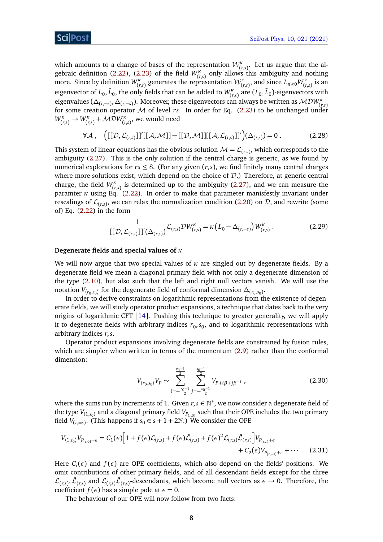## ScilPos<sup>.</sup>

which amounts to a change of bases of the representation  $\mathcal{W}_{(r,s)}^{\kappa}$ . Let us argue that the al-gebraic definition [\(2.22\)](#page-6-0), [\(2.23\)](#page-6-1) of the field  $W_{(r,s)}^{\kappa}$  only allows this ambiguity and nothing more. Since by definition  $W_{(r,s)}^{\kappa}$  generates the representation  $W_{(r,s)}^{\kappa}$ , and since  $L_{n\geq0}W_{(r,s)}^{\kappa}$  is an eigenvector of  $L_0$ ,  $\bar{L}_0$ , the only fields that can be added to  $W_{(r,s)}^{\kappa}$  are  $(L_0,\bar{L}_0)$ -eigenvectors with eigenvalues ( $\Delta_{(r,-s)}, \Delta_{(r,-s)}$ ). Moreover, these eigenvectors can always be written as  $\mathcal{MDW}^{\kappa}_{(r,s)}$ for some creation operator M of level *rs*. In order for Eq. [\(2.23\)](#page-6-1) to be unchanged under  $W_{(r,s)}^{\kappa} \to W_{(r,s)}^{\kappa} + \mathcal{M} \mathcal{D} W_{(r,s)}^{\kappa}$ , we would need

$$
\forall \mathcal{A}, \quad \left( [[\mathcal{D}, \mathcal{L}_{(r,s)}]]' [[\mathcal{A}, \mathcal{M}]] - [[\mathcal{D}, \mathcal{M}]] [[\mathcal{A}, \mathcal{L}_{(r,s)}]]' \right) (\Delta_{(r,s)}) = 0 \ . \tag{2.28}
$$

This system of linear equations has the obvious solution  $\mathcal{M} = \mathcal{L}_{(r,s)},$  which corresponds to the ambiguity [\(2.27\)](#page-6-2). This is the only solution if the central charge is generic, as we found by numerical explorations for  $rs \leq 8$ . (For any given  $(r, s)$ , we find finitely many central charges where more solutions exist, which depend on the choice of  $D$ .) Therefore, at generic central charge, the field  $W_{(r,s)}^{\kappa}$  is determined up to the ambiguity [\(2.27\)](#page-6-2), and we can measure the paramter  $\kappa$  using Eq. [\(2.22\)](#page-6-0). In order to make that parameter manisfestly invariant under rescalings of  $\mathcal{L}_{(r,s)},$  we can relax the normalization condition [\(2.20\)](#page-6-3) on  $\mathcal{D},$  and rewrite (some of) Eq. [\(2.22\)](#page-6-0) in the form

$$
\frac{1}{[[\mathcal{D},\mathcal{L}_{(r,s)}]]'(\Delta_{(r,s)})}\mathcal{L}_{(r,s)}\mathcal{D}W_{(r,s)}^{\kappa} = \kappa\left(L_0 - \Delta_{(r,-s)}\right)W_{(r,s)}^{\kappa}.
$$
\n(2.29)

#### **Degenerate fields and special values of** *κ*

We will now argue that two special values of *κ* are singled out by degenerate fields. By a degenerate field we mean a diagonal primary field with not only a degenerate dimension of the type [\(2.10\)](#page-4-3), but also such that the left and right null vectors vanish. We will use the notation  $V_{\langle r_0, s_0 \rangle}$  for the degenerate field of conformal dimension  $\Delta_{(r_0, s_0)}.$ 

In order to derive constraints on logarithmic representations from the existence of degenerate fields, we will study operator product expansions, a technique that dates back to the very origins of logarithmic CFT [[14](#page-35-8)]. Pushing this technique to greater generality, we will apply it to degenerate fields with arbitrary indices  $r_0, s_0,$  and to logarithmic representations with arbitrary indices *r*,*s*.

Operator product expansions involving degenerate fields are constrained by fusion rules, which are simpler when written in terms of the momentum [\(2.9\)](#page-4-4) rather than the conformal dimension:

<span id="page-7-1"></span><span id="page-7-0"></span>
$$
V_{(r_0, s_0)} V_P \sim \sum_{i=-\frac{r_0-1}{2}}^{\frac{r_0-1}{2}} \sum_{j=-\frac{s_0-1}{2}}^{\frac{s_0-1}{2}} V_{p+i\beta+j\beta-1} ,
$$
 (2.30)

where the sums run by increments of 1. Given  $r, s \in \mathbb{N}^*$ , we now consider a degenerate field of the type  $V_{\langle 1,s_0\rangle}$  and a diagonal primary field  $V_{P_{(r,0)}}$  such that their OPE includes the two primary field *V*<sub>(*r*,±*s*)</sub>. (This happens if *s*<sub>0</sub> ∈ *s* + 1 + 2N.) We consider the OPE

$$
V_{(1,s_0)}V_{P_{(r,0)}+\epsilon} = C_1(\epsilon) \Big[ 1 + f(\epsilon) \mathcal{L}_{(r,s)} + f(\epsilon) \bar{\mathcal{L}}_{(r,s)} + f(\epsilon)^2 \mathcal{L}_{(r,s)} \bar{\mathcal{L}}_{(r,s)} \Big] V_{P_{(r,s)}+\epsilon} + C_2(\epsilon) V_{P_{(r,-s)}+\epsilon} + \cdots \quad (2.31)
$$

Here  $C_i(\epsilon)$  and  $f(\epsilon)$  are OPE coefficients, which also depend on the fields' positions. We omit contributions of other primary fields, and of all descendant fields except for the three  $\mathcal{L}_{(r,s)}$ ,  $\bar{\mathcal{L}}_{(r,s)}$  and  $\mathcal{L}_{(r,s)}\bar{\mathcal{L}}_{(r,s)}$ -descendants, which become null vectors as  $\epsilon \to 0$ . Therefore, the coefficient  $f(\epsilon)$  has a simple pole at  $\epsilon = 0$ .

The behaviour of our OPE will now follow from two facts: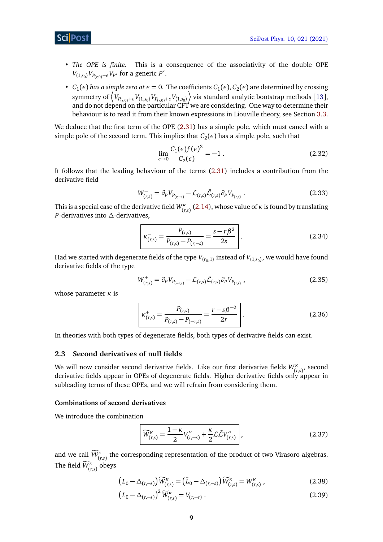# ScilPos<sup>.</sup>

- *The OPE is finite.* This is a consequence of the associativity of the double OPE  $V_{\langle 1,s_0 \rangle} V_{P_{(r,0)}+\epsilon} V_{P'}$  for a generic *P'*.
- $C_1(\epsilon)$  *has a simple zero at*  $\epsilon = 0$ . The coefficients  $C_1(\epsilon)$ ,  $C_2(\epsilon)$  are determined by crossing  $\sigma$ symmetry of  $\left< V_{P_{(r,0)}+\epsilon} V_{(1,s_0)} V_{P_{(r,0)}+\epsilon} V_{(1,s_0)} \right>$  via standard analytic bootstrap methods [[13](#page-35-7)], and do not depend on the particular CFT we are considering. One way to determine their behaviour is to read it from their known expressions in Liouville theory, see Section [3.3.](#page-19-0)

We deduce that the first term of the OPE [\(2.31\)](#page-7-0) has a simple pole, which must cancel with a simple pole of the second term. This implies that  $C_2(\epsilon)$  has a simple pole, such that

<span id="page-8-1"></span>
$$
\lim_{\epsilon \to 0} \frac{C_1(\epsilon)f(\epsilon)^2}{C_2(\epsilon)} = -1.
$$
\n(2.32)

It follows that the leading behaviour of the terms [\(2.31\)](#page-7-0) includes a contribution from the derivative field

$$
W_{(r,s)}^{-} = \partial_p V_{P_{(r,-s)}} - \mathcal{L}_{(r,s)} \bar{\mathcal{L}}_{(r,s)} \partial_p V_{P_{(r,s)}}.
$$
\n(2.33)

This is a special case of the derivative field  $W^{\kappa}_{(r,s)}$  [\(2.14\)](#page-5-1), whose value of  $\kappa$  is found by translating *P*-derivatives into *∆*-derivatives,

<span id="page-8-3"></span>
$$
\kappa_{(r,s)}^{-} = \frac{P_{(r,s)}}{P_{(r,s)} - P_{(r,-s)}} = \frac{s - r\beta^2}{2s}.
$$
\n(2.34)

Had we started with degenerate fields of the type  $V_{\langle r_0,1\rangle}$  instead of  $V_{\langle 1,s_0\rangle},$  we would have found derivative fields of the type

$$
W_{(r,s)}^{+} = \partial_p V_{P_{(-r,s)}} - \mathcal{L}_{(r,s)} \bar{\mathcal{L}}_{(r,s)} \partial_p V_{P_{(r,s)}},
$$
\n(2.35)

whose parameter *κ* is

<span id="page-8-4"></span>
$$
\kappa_{(r,s)}^{+} = \frac{P_{(r,s)}}{P_{(r,s)} - P_{(-r,s)}} = \frac{r - s\beta^{-2}}{2r} \Bigg| \,.
$$
\n(2.36)

In theories with both types of degenerate fields, both types of derivative fields can exist.

#### <span id="page-8-0"></span>**2.3 Second derivatives of null fields**

We will now consider second derivative fields. Like our first derivative fields *W<sub><i>κ*</sub><sub>*r*,*s*</sub>)</sub>, second derivative fields appear in OPEs of degenerate fields. Higher derivative fields only appear in subleading terms of these OPEs, and we will refrain from considering them.

#### **Combinations of second derivatives**

We introduce the combination

<span id="page-8-2"></span>
$$
\widetilde{W}_{(r,s)}^{\kappa} = \frac{1-\kappa}{2} V_{(r,-s)}'' + \frac{\kappa}{2} \mathcal{L} \bar{\mathcal{L}} V_{(r,s)}'' \Big|,
$$
\n(2.37)

and we call  $\widetilde{\mathcal{W}}^{\kappa}_{(r,s)}$  the corresponding representation of the product of two Virasoro algebras. The field  $\widetilde{W}^{\kappa}_{(r,s)}$  obeys

$$
\left(L_0 - \Delta_{(r,-s)}\right) \widetilde{W}_{(r,s)}^{\kappa} = \left(\bar{L}_0 - \Delta_{(r,-s)}\right) \widetilde{W}_{(r,s)}^{\kappa} = W_{(r,s)}^{\kappa} \,,\tag{2.38}
$$

$$
\left(L_0 - \Delta_{(r,-s)}\right)^2 \widetilde{W}_{(r,s)}^k = V_{(r,-s)}\,. \tag{2.39}
$$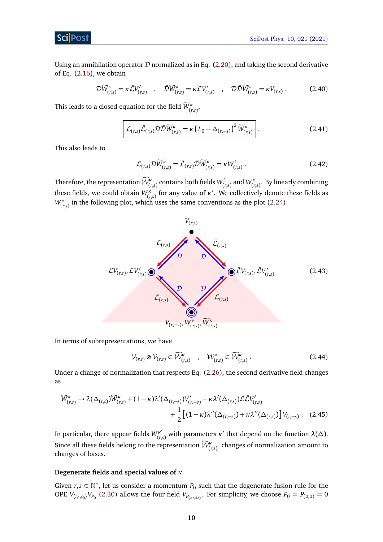## ScilPost

Using an annihilation operator  $D$  normalized as in Eq. [\(2.20\)](#page-6-3), and taking the second derivative of Eq. [\(2.16\)](#page-5-2), we obtain

$$
\mathcal{D}\widetilde{W}_{(r,s)}^{\kappa} = \kappa \bar{\mathcal{L}} V_{(r,s)}', \quad \bar{\mathcal{D}}\widetilde{W}_{(r,s)}^{\kappa} = \kappa \mathcal{L} V_{(r,s)}', \quad \mathcal{D}\bar{\mathcal{D}}\widetilde{W}_{(r,s)}^{\kappa} = \kappa V_{(r,s)}.
$$
 (2.40)

This leads to a closed equation for the field  $\widetilde{W}_{(r,s)}^{\kappa},$ 

$$
\mathcal{L}_{(r,s)}\bar{\mathcal{L}}_{(r,s)}\mathcal{D}\bar{\mathcal{D}}\widetilde{W}_{(r,s)}^{\kappa} = \kappa \left( L_0 - \Delta_{(r,-s)} \right)^2 \widetilde{W}_{(r,s)}^{\kappa} \tag{2.41}
$$

This also leads to

$$
\mathcal{L}_{(r,s)} \mathcal{D}\widetilde{W}_{(r,s)}^{\kappa} = \bar{\mathcal{L}}_{(r,s)} \bar{\mathcal{D}}\widetilde{W}_{(r,s)}^{\kappa} = \kappa W_{(r,s)}^1.
$$
 (2.42)

Therefore, the representation  $\widetilde{\mathcal{W}}^{\kappa}_{(r,s)}$  contains both fields  $W^1_{(r,s)}$  and  $W^{\kappa}_{(r,s)}.$  By linearly combining these fields, we could obtain  $W_{\text{C}}^{K'}$  $\binom{\kappa'}{(r,s)}$  for any value of  $\kappa'$ . We collectively denote these fields as  $W^*_{(r,s)}$  in the following plot, which uses the same conventions as the plot [\(2.24\)](#page-6-4):



In terms of subrepresentations, we have

<span id="page-9-1"></span><span id="page-9-0"></span>
$$
\mathcal{V}_{(r,s)} \otimes \bar{\mathcal{V}}_{(r,s)} \subset \widetilde{\mathcal{W}}_{(r,s)}^{\kappa} \quad , \quad \mathcal{W}_{(r,s)}^{\ast} \subset \widetilde{\mathcal{W}}_{(r,s)}^{\kappa} \; . \tag{2.44}
$$

Under a change of normalization that respects Eq. [\(2.26\)](#page-6-5), the second derivative field changes as

$$
\widetilde{W}_{(r,s)}^{\kappa} \to \lambda(\Delta_{(r,s)})\widetilde{W}_{(r,s)}^{\kappa} + (1-\kappa)\lambda'(\Delta_{(r,-s)})V'_{(r,-s)} + \kappa\lambda'(\Delta_{(r,s)})\mathcal{L}\bar{\mathcal{L}}V'_{(r,s)} + \frac{1}{2}\big[(1-\kappa)\lambda''(\Delta_{(r,-s)}) + \kappa\lambda''(\Delta_{(r,s)})\big]V_{(r,-s)}.
$$
\n(2.45)

In particular, there appear fields  $W_{0r}^{k'}$  $\binom{\kappa'}{(r,s)}$  with parameters  $\kappa'$  that depend on the function  $\lambda(\Delta)$ . Since all these fields belong to the representation  $\widetilde{\mathcal{W}}_{(r,s)}^{\kappa}$ , changes of normalization amount to changes of bases.

#### **Degenerate fields and special values of** *κ*

Given  $r, s \in \mathbb{N}^*$ , let us consider a momentum  $P_0$  such that the degenerate fusion rule for the OPE  $V_{(r_0,s_0)}V_{P_0}$  [\(2.30\)](#page-7-1) allows the four field  $V_{P_{(\pm r,\pm s)}}$ . For simplicity, we choose  $P_0 = P_{(0,0)} = 0$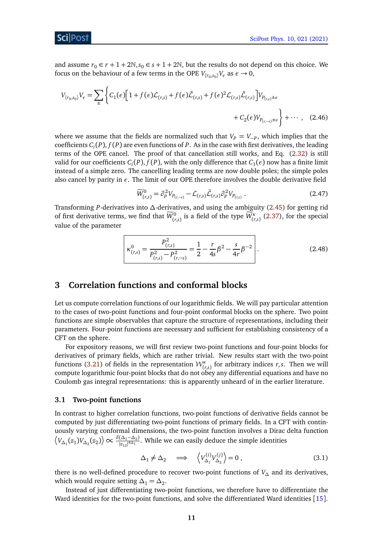Sci Post

and assume  $r_0 \in r + 1 + 2\mathbb{N}, s_0 \in s + 1 + 2\mathbb{N}$ , but the results do not depend on this choice. We focus on the behaviour of a few terms in the OPE  $V_{(r_0,s_0)}V_{\epsilon}$  as  $\epsilon \to 0$ ,

$$
V_{(r_0,s_0)}V_{\epsilon} = \sum_{\pm} \left\{ C_1(\epsilon) \left[ 1 + f(\epsilon) \mathcal{L}_{(r,s)} + f(\epsilon) \bar{\mathcal{L}}_{(r,s)} + f(\epsilon)^2 \mathcal{L}_{(r,s)} \bar{\mathcal{L}}_{(r,s)} \right] V_{P_{(r,s)} \pm \epsilon} + C_2(\epsilon) V_{P_{(r,-s)} \pm \epsilon} \right\} + \cdots, \quad (2.46)
$$

where we assume that the fields are normalized such that  $V_P = V_{-P}$ , which implies that the coefficients *C<sup>i</sup>* (*P*), *f* (*P*) are even functions of *P*. As in the case with first derivatives, the leading terms of the OPE cancel. The proof of that cancellation still works, and Eq. [\(2.32\)](#page-8-1) is still valid for our coefficients  $C_i(P), f(P)$ , with the only difference that  $C_1(\epsilon)$  now has a finite limit instead of a simple zero. The cancelling leading terms are now double poles; the simple poles also cancel by parity in *ε*. The limit of our OPE therefore involves the double derivative field

<span id="page-10-3"></span>
$$
\widetilde{W}_{(r,s)}^0 = \partial_p^2 V_{P_{(r,-s)}} - \mathcal{L}_{(r,s)} \bar{\mathcal{L}}_{(r,s)} \partial_p^2 V_{P_{(r,s)}}.
$$
\n(2.47)

Transforming *P*-derivatives into *∆*-derivatives, and using the ambiguity [\(2.45\)](#page-9-0) for getting rid of first derivative terms, we find that  $\widetilde{W}^0_{(r,s)}$  is a field of the type  $\widetilde{W}^{\kappa}_{(r,s)}$  [\(2.37\)](#page-8-2), for the special value of the parameter

$$
\left| \kappa^0_{(r,s)} = \frac{P_{(r,s)}^2}{P_{(r,s)}^2 - P_{(r,-s)}^2} = \frac{1}{2} - \frac{r}{4s} \beta^2 - \frac{s}{4r} \beta^{-2} \right|.
$$
 (2.48)

# <span id="page-10-0"></span>**3 Correlation functions and conformal blocks**

Let us compute correlation functions of our logarithmic fields. We will pay particular attention to the cases of two-point functions and four-point conformal blocks on the sphere. Two point functions are simple observables that capture the structure of representations, including their parameters. Four-point functions are necessary and sufficient for establishing consistency of a CFT on the sphere.

For expository reasons, we will first review two-point functions and four-point blocks for derivatives of primary fields, which are rather trivial. New results start with the two-point functions [\(3.21\)](#page-13-0) of fields in the representation  $W^k_{(r,s)}$  for arbitrary indices *r*,*s*. Then we will compute logarithmic four-point blocks that do not obey any differential equations and have no Coulomb gas integral representations: this is apparently unheard of in the earlier literature.

#### <span id="page-10-1"></span>**3.1 Two-point functions**

In contrast to higher correlation functions, two-point functions of derivative fields cannot be computed by just differentiating two-point functions of primary fields. In a CFT with continuously varying conformal dimensions, the two-point function involves a Dirac delta function  $\langle V_{\Delta_1}(z_1)V_{\Delta_2}(z_2)\rangle \propto \frac{\delta(\Delta_1-\Delta_2)}{|z_{12}|^{4\Delta_1}}$ . While we can easily deduce the simple identities

<span id="page-10-2"></span>
$$
\Delta_1 \neq \Delta_2 \quad \Longrightarrow \quad \left\langle V_{\Delta_1}^{(i)} V_{\Delta_2}^{(j)} \right\rangle = 0 \,, \tag{3.1}
$$

there is no well-defined procedure to recover two-point functions of *V<sup>∆</sup>* and its derivatives, which would require setting  $\Delta_1 = \Delta_2$ .

Instead of just differentiating two-point functions, we therefore have to differentiate the Ward identities for the two-point functions, and solve the differentiated Ward identities [[15](#page-35-9)].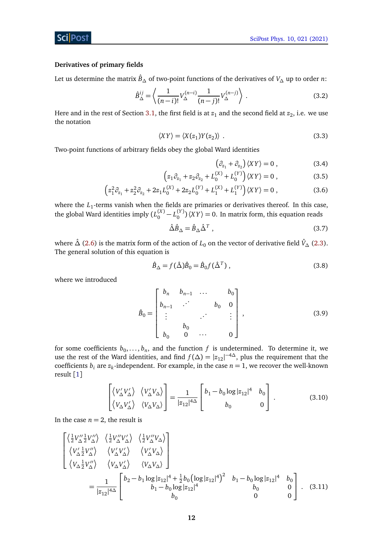#### **Derivatives of primary fields**

Let us determine the matrix  $\hat{B}_\Delta$  of two-point functions of the derivatives of  $V_\Delta$  up to order *n*:

$$
\hat{B}^{ij}_{\Delta} = \left\langle \frac{1}{(n-i)!} V_{\Delta}^{(n-i)} \frac{1}{(n-j)!} V_{\Delta}^{(n-j)} \right\rangle . \tag{3.2}
$$

Here and in the rest of Section [3.1,](#page-10-1) the first field is at  $z_1$  and the second field at  $z_2$ , i.e. we use the notation

$$
\langle XY \rangle = \langle X(z_1)Y(z_2) \rangle \tag{3.3}
$$

Two-point functions of arbitrary fields obey the global Ward identities

<span id="page-11-0"></span>
$$
\left(\partial_{z_1} + \partial_{z_2}\right) \langle XY \rangle = 0 \; , \tag{3.4}
$$

$$
(z_1 \partial_{z_1} + z_2 \partial_{z_2} + L_0^{(X)} + L_0^{(Y)}) \langle XY \rangle = 0 , \qquad (3.5)
$$

$$
\left(z_1^2 \partial_{z_1} + z_2^2 \partial_{z_2} + 2z_1 L_0^{(X)} + 2z_2 L_0^{(Y)} + L_1^{(X)} + L_1^{(Y)}\right) \langle XY \rangle = 0 \,, \tag{3.6}
$$

where the *L*<sub>1</sub>-terms vanish when the fields are primaries or derivatives thereof. In this case, the global Ward identities imply  $(L_0^{(X)} - L_0^{(Y)}) \langle XY \rangle = 0$ . In matrix form, this equation reads

$$
\hat{\Delta}\hat{B}_{\Delta} = \hat{B}_{\Delta}\hat{\Delta}^T , \qquad (3.7)
$$

where  $\hat{\Delta}$  [\(2.6\)](#page-3-2) is the matrix form of the action of *L*<sub>0</sub> on the vector of derivative field  $\hat{V}_{\Delta}$  [\(2.3\)](#page-3-3). The general solution of this equation is

$$
\hat{B}_{\Delta} = f(\hat{\Delta})\hat{B}_0 = \hat{B}_0 f(\hat{\Delta}^T) , \qquad (3.8)
$$

where we introduced

<span id="page-11-1"></span>
$$
\hat{B}_0 = \begin{bmatrix} b_n & b_{n-1} & \cdots & b_0 \\ b_{n-1} & \cdots & b_0 & 0 \\ \vdots & & \ddots & \vdots \\ b_0 & 0 & \cdots & 0 \end{bmatrix},
$$
\n(3.9)

for some coefficients  $b_0, \ldots, b_n$ , and the function  $f$  is undetermined. To determine it, we use the rest of the Ward identities, and find  $f(\Delta) = |z_{12}|^{-4\Delta}$ , plus the requirement that the coefficients  $b_i$  are  $z_k$ -independent. For example, in the case  $n = 1$ , we recover the well-known result [[1](#page-34-1)]

$$
\begin{bmatrix}\n\langle V'_{\Delta} V'_{\Delta}\rangle & \langle V'_{\Delta} V_{\Delta}\rangle \\
\langle V_{\Delta} V'_{\Delta}\rangle & \langle V_{\Delta} V_{\Delta}\rangle\n\end{bmatrix} = \frac{1}{|z_{12}|^{4\Delta}} \begin{bmatrix} b_1 - b_0 \log|z_{12}|^4 & b_0 \\
b_0 & 0\n\end{bmatrix}.
$$
\n(3.10)

In the case  $n = 2$ , the result is

$$
\begin{bmatrix}\n\left\langle \frac{1}{2}V_{\Delta}^{\prime\prime} \frac{1}{2}V_{\Delta}^{\prime\prime} \right\rangle & \left\langle \frac{1}{2}V_{\Delta}^{\prime\prime}V_{\Delta} \right\rangle & \left\langle \frac{1}{2}V_{\Delta}^{\prime\prime}V_{\Delta} \right\rangle \\
\left\langle V_{\Delta}^{\prime} \frac{1}{2}V_{\Delta}^{\prime\prime} \right\rangle & \left\langle V_{\Delta}^{\prime}V_{\Delta} \right\rangle & \left\langle V_{\Delta}^{\prime}V_{\Delta} \right\rangle \\
\left\langle V_{\Delta} \frac{1}{2}V_{\Delta}^{\prime\prime} \right\rangle & \left\langle V_{\Delta}V_{\Delta}^{\prime} \right\rangle & \left\langle V_{\Delta}V_{\Delta} \right\rangle\n\end{bmatrix} = \frac{1}{|z_{12}|^{4\Delta}} \begin{bmatrix}\nb_{2} - b_{1} \log |z_{12}|^{4} + \frac{1}{2}b_{0} \left( \log |z_{12}|^{4} \right)^{2} & b_{1} - b_{0} \log |z_{12}|^{4} & b_{0} \\
b_{1} - b_{0} \log |z_{12}|^{4} & b_{0} & 0 \\
b_{0} & 0 & 0\n\end{bmatrix}.
$$
\n(3.11)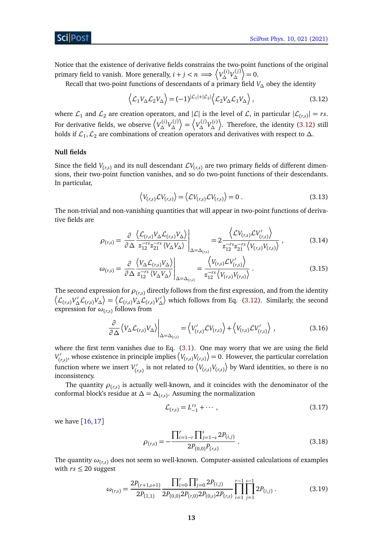Notice that the existence of derivative fields constrains the two-point functions of the original primary field to vanish. More generally,  $i + j < n \implies \left\langle V_{\Delta}^{(i)} V_{\Delta}^{(j)} \right\rangle$  $\left\langle \begin{matrix} (j) \\ \Delta \end{matrix} \right\rangle = 0.$ 

Recall that two-point functions of descendants of a primary field *V<sup>∆</sup>* obey the identity

<span id="page-12-0"></span>
$$
\langle \mathcal{L}_1 V_{\Delta} \mathcal{L}_2 V_{\Delta} \rangle = (-1)^{|\mathcal{L}_1| + |\mathcal{L}_2|} \langle \mathcal{L}_2 V_{\Delta} \mathcal{L}_1 V_{\Delta} \rangle, \qquad (3.12)
$$

where  $\mathcal{L}_1$  and  $\mathcal{L}_2$  are creation operators, and  $|\mathcal{L}|$  is the level of  $\mathcal{L}$ , in particular  $|\mathcal{L}_{(r,s)}| = rs$ . For derivative fields, we observe  $\left\langle V_{\Delta}^{(i)} V_{\Delta}^{(j)} \right\rangle$  $\begin{pmatrix} V^{(j)}_{\Delta} \end{pmatrix} = \begin{pmatrix} V^{(j)}_{\Delta} \end{pmatrix}$ *∆ V* (*i*) *∆* ¶ . Therefore, the identity [\(3.12\)](#page-12-0) still holds if  $\mathcal{L}_1, \mathcal{L}_2$  are combinations of creation operators and derivatives with respect to  $\Delta.$ 

## **Null fields**

Since the field  $V_{(r,s)}$  and its null descendant  $\mathcal{L}V_{(r,s)}$  are two primary fields of different dimensions, their two-point function vanishes, and so do two-point functions of their descendants. In particular,

<span id="page-12-3"></span><span id="page-12-2"></span>
$$
\langle V_{(r,s)}\mathcal{L}V_{(r,s)}\rangle = \langle \mathcal{L}V_{(r,s)}\mathcal{L}V_{(r,s)}\rangle = 0.
$$
\n(3.13)

The non-trivial and non-vanishing quantities that will appear in two-point functions of derivative fields are

$$
\rho_{(r,s)} = \left. \frac{\partial}{\partial \Delta} \frac{\left\langle \mathcal{L}_{(r,s)} V_{\Delta} \mathcal{L}_{(r,s)} V_{\Delta} \right\rangle}{z_{12}^{-rs} z_{21}^{-rs} \left\langle V_{\Delta} V_{\Delta} \right\rangle} \right|_{\Delta = \Delta_{(r,s)}} = 2 \frac{\left\langle \mathcal{L} V_{(r,s)} \mathcal{L} V'_{(r,s)} \right\rangle}{z_{12}^{-rs} z_{21}^{-rs} \left\langle V_{(r,s)} V_{(r,s)} \right\rangle}, \tag{3.14}
$$

$$
\omega_{(r,s)} = \left. \frac{\partial}{\partial \Delta} \frac{\left\langle V_{\Delta} \mathcal{L}_{(r,s)} V_{\Delta} \right\rangle}{z_{12}^{-rs} \left\langle V_{\Delta} V_{\Delta} \right\rangle} \right|_{\Delta = \Delta_{(r,s)}} = \frac{\left\langle V_{(r,s)} \mathcal{L} V'_{(r,s)} \right\rangle}{z_{12}^{-rs} \left\langle V_{(r,s)} V_{(r,s)} \right\rangle} . \tag{3.15}
$$

The second expression for  $\rho_{(r,s)}$  directly follows from the first expression, and from the identity  $\left\langle \mathcal{L}_{(r,s)} V_{\Delta}' \mathcal{L}_{(r,s)} V_{\Delta} \right\rangle = \left\langle \mathcal{L}_{(r,s)} V_{\Delta} \mathcal{L}_{(r,s)} V_{\Delta}' \right\rangle$ *∆* which follows from Eq. [\(3.12\)](#page-12-0). Similarly, the second expression for  $\omega_{(r,s)}$  follows from

$$
\frac{\partial}{\partial \Delta} \left\langle V_{\Delta} \mathcal{L}_{(r,s)} V_{\Delta} \right\rangle \Big|_{\Delta = \Delta_{(r,s)}} = \left\langle V'_{(r,s)} \mathcal{L} V_{(r,s)} \right\rangle + \left\langle V_{(r,s)} \mathcal{L} V'_{(r,s)} \right\rangle, \tag{3.16}
$$

where the first term vanishes due to Eq. [\(3.1\)](#page-10-2). One may worry that we are using the field  $V'_{G}$  $V'_{(r,s)}$ , whose existence in principle implies  $V_{(r,s)}V_{(r,s)}$  = 0. However, the particular correlation function where we insert  $V'_{\alpha}$  $V_{(r,s)}'$  is not related to  $\left\langle V_{(r,s)} V_{(r,s)} \right\rangle$  by Ward identities, so there is no inconsistency.

The quantity  $\rho_{(r,s)}$  is actually well-known, and it coincides with the denominator of the  $\alpha$  conformal block's residue at  $\Delta = \Delta_{(r,s)}$ . Assuming the normalization

<span id="page-12-4"></span><span id="page-12-1"></span>
$$
\mathcal{L}_{(r,s)} = L_{-1}^{rs} + \cdots, \qquad (3.17)
$$

we have [[16,](#page-35-10)[17](#page-35-11)]

$$
\rho_{(r,s)} = -\frac{\prod_{i=1-r}^{r} \prod_{j=1-s}^{s} 2P_{(i,j)}}{2P_{(0,0)}P_{(r,s)}}.
$$
\n(3.18)

The quantity  $\omega_{(r,s)}$  does not seem so well-known. Computer-assisted calculations of examples with  $rs \leq 20$  suggest

$$
\omega_{(r,s)} = \frac{2P_{(r+1,s+1)}}{2P_{(1,1)}} \frac{\prod_{i=0}^r \prod_{j=0}^s 2P_{(i,j)}}{2P_{(0,0)} 2P_{(r,0)} 2P_{(0,s)} 2P_{(r,s)}} \prod_{i=1}^{r-1} \prod_{j=1}^{s-1} 2P_{(i,j)} . \tag{3.19}
$$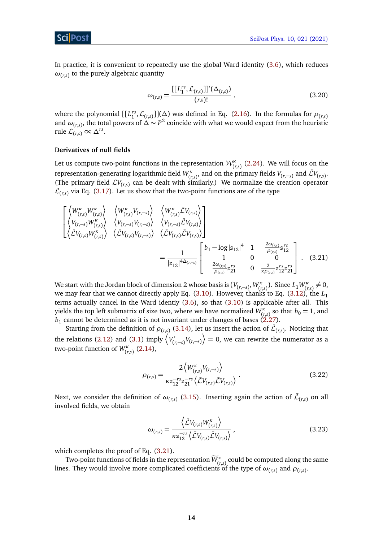In practice, it is convenient to repeatedly use the global Ward identity [\(3.6\)](#page-11-0), which reduces  $\omega_{(r,s)}$  to the purely algebraic quantity

$$
\omega_{(r,s)} = \frac{[[L_1^{rs}, \mathcal{L}_{(r,s)}]]'(\Delta_{(r,s)})}{(rs)!},
$$
\n(3.20)

where the polynomial  $[[L_1^{rs}, \mathcal{L}_{(r,s)}]](\Delta)$  was defined in Eq. [\(2.16\)](#page-5-2). In the formulas for  $\rho_{(r,s)}$ and  $\omega_{(r,s)}$ , the total powers of  $\Delta \sim P^2$  coincide with what we would expect from the heuristic rule  $\mathcal{L}_{(r,s)} \propto \Delta^{rs}$ .

#### **Derivatives of null fields**

Let us compute two-point functions in the representation  $\mathcal{W}^{\kappa}_{(r,s)}$  [\(2.24\)](#page-6-4). We will focus on the representation-generating logarithmic field  $W^{\kappa}_{(r,s)}$ , and on the primary fields  $V_{(r,-s)}$  and  $\bar{\mathcal{L}}V_{(r,s)}$ . (The primary field  $\mathcal{L}V_{(r,s)}$  can be dealt with similarly.) We normalize the creation operator  $\mathcal{L}_{(r,s)}$  via Eq. [\(3.17\)](#page-12-1). Let us show that the two-point functions are of the type

$$
\begin{bmatrix}\n\langle W_{(r,s)}^{K} W_{(r,s)}^{K}\rangle & \langle W_{(r,s)}^{K} V_{(r,-s)} \rangle & \langle W_{(r,s)}^{K} \bar{\mathcal{L}} V_{(r,s)} \rangle \\
\langle V_{(r,-s)} W_{(r,s)}^{K} \rangle & \langle V_{(r,-s)} V_{(r,-s)} \rangle & \langle V_{(r,-s)} \bar{\mathcal{L}} V_{(r,s)} \rangle \\
\langle \bar{\mathcal{L}} V_{(r,s)} W_{(r,s)}^{K} \rangle & \langle \bar{\mathcal{L}} V_{(r,s)} V_{(r,-s)} \rangle & \langle \bar{\mathcal{L}} V_{(r,s)} \bar{\mathcal{L}} V_{(r,s)} \rangle\n\end{bmatrix}\n=\frac{1}{|z_{12}|^{4\Delta(r,-s)}} \begin{bmatrix}\nb_{1} - \log |z_{12}|^{4} & 1 & \frac{2\omega_{(r,s)}}{\rho_{(r,s)}} z_{12}^{rs} \\
1 & 0 & 0 \\
\frac{2\omega_{(r,s)}}{\rho_{(r,s)}} z_{21}^{rs} & 0 & \frac{2}{\kappa \rho_{(r,s)}} z_{12}^{rs} \n\end{bmatrix}.
$$
\n(3.21)

We start with the Jordan block of dimension 2 whose basis is  $(V_{(r,-s)}, W_{(r,s)}^{\kappa})$ . Since  $L_1 W_{(r,s)}^{\kappa} \neq 0$ , we may fear that we cannot directly apply Eq.  $(3.10)$ . However, thanks to Eq.  $(3.12)$ , the  $L_1$ terms actually cancel in the Ward identiy [\(3.6\)](#page-11-0), so that [\(3.10\)](#page-11-1) is applicable after all. This yields the top left submatrix of size two, where we have normalized  $W^k_{(r,s)}$  so that  $b_0 = 1$ , and  $b_1$  cannot be determined as it is not invariant under changes of bases [\(2.27\)](#page-6-2).

Starting from the definition of  $\rho_{(r,s)}$  [\(3.14\)](#page-12-2), let us insert the action of  $\bar{\mathcal{L}}_{(r,s)}$ . Noticing that the relations [\(2.12\)](#page-4-2) and [\(3.1\)](#page-10-2) imply  $\langle V'_0 \rangle$  $\langle V_{(r,-s)}'V_{(r,-s)}\rangle = 0$ , we can rewrite the numerator as a two-point function of  $W^{\kappa}_{(r,s)}$  [\(2.14\)](#page-5-1),

<span id="page-13-0"></span>
$$
\rho_{(r,s)} = \frac{2\left\langle W_{(r,s)}^{\kappa} V_{(r,-s)} \right\rangle}{\kappa z_{12}^{-rs} z_{21}^{-rs} \left\langle \bar{\mathcal{L}} V_{(r,s)} \bar{\mathcal{L}} V_{(r,s)} \right\rangle} \,.
$$
\n(3.22)

Next, we consider the definition of  $\omega_{(r,s)}$  [\(3.15\)](#page-12-3). Inserting again the action of  $\bar{\mathcal{L}}_{(r,s)}$  on all involved fields, we obtain

$$
\omega_{(r,s)} = \frac{\left\langle \bar{\mathcal{L}} V_{(r,s)} W_{(r,s)}^{\kappa} \right\rangle}{\kappa z_{12}^{-rs} \left\langle \bar{\mathcal{L}} V_{(r,s)} \bar{\mathcal{L}} V_{(r,s)} \right\rangle},\tag{3.23}
$$

which completes the proof of Eq. [\(3.21\)](#page-13-0).

Two-point functions of fields in the representation  $\widetilde{W}^{\kappa}_{(r,s)}$  could be computed along the same lines. They would involve more complicated coefficients of the type of  $\omega_{(r,s)}$  and  $\rho_{(r,s)}$ .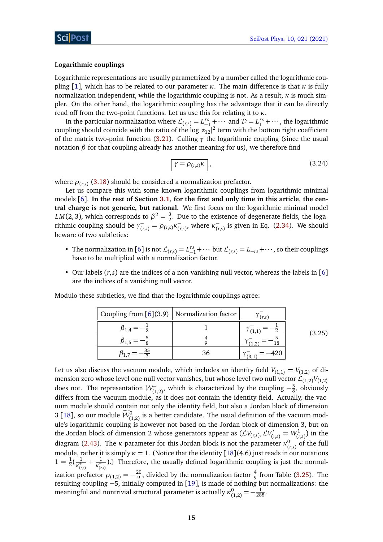#### **Logarithmic couplings**

Logarithmic representations are usually parametrized by a number called the logarithmic cou-pling [[1](#page-34-1)], which has to be related to our parameter  $\kappa$ . The main difference is that  $\kappa$  is fully normalization-independent, while the logarithmic coupling is not. As a result, *κ* is much simpler. On the other hand, the logarithmic coupling has the advantage that it can be directly read off from the two-point functions. Let us use this for relating it to *κ*.

In the particular normalization where  $\mathcal{L}_{(r,s)} = L_{-1}^{rs} + \cdots$  and  $\mathcal{D} = L_1^{rs} + \cdots$ , the logarithmic coupling should coincide with the ratio of the  $\log |z_{12}|^2$  term with the bottom right coefficient of the matrix two-point function [\(3.21\)](#page-13-0). Calling  $\gamma$  the logarithmic coupling (since the usual notation  $β$  for that coupling already has another meaning for us), we therefore find

<span id="page-14-0"></span>
$$
\gamma = \rho_{(r,s)} \kappa \,, \tag{3.24}
$$

where  $\rho_{(r,s)}$  [\(3.18\)](#page-12-4) should be considered a normalization prefactor.

Let us compare this with some known logarithmic couplings from logarithmic minimal models [[6](#page-35-0)]. **In the rest of Section [3.1,](#page-10-1) for the first and only time in this article, the central charge is not generic, but rational.** We first focus on the logarithmic minimal model *LM*(2,3), which corresponds to  $\beta^2 = \frac{3}{2}$  $\frac{3}{2}$ . Due to the existence of degenerate fields, the logarithmic coupling should be *γ* −  $\frac{1}{(r,s)} = \rho_{(r,s)} \kappa_{(r,s)}^{-1}$  $\overline{r_{(r,s)}},$  where  $\kappa$ <sup>-</sup> $\overline{r_{(r,s)}}$  $\overline{(r,s)}$  is given in Eq. [\(2.34\)](#page-8-3). We should beware of two subtleties:

- The normalization in [[6](#page-35-0)] is not  $\mathcal{L}_{(r,s)} = L_{-1}^{rs} + \cdots$  but  $\mathcal{L}_{(r,s)} = L_{-rs} + \cdots$ , so their couplings have to be multiplied with a normalization factor.
- Our labels (*r*,*s*) are the indices of a non-vanishing null vector, whereas the labels in [[6](#page-35-0)] are the indices of a vanishing null vector.

| Coupling from $[6](3.9)$ Normalization factor |    | $r_s$ |        |
|-----------------------------------------------|----|-------|--------|
|                                               |    |       | (3.25) |
|                                               |    |       |        |
|                                               | 36 |       |        |

Modulo these subtleties, we find that the logarithmic couplings agree:

Let us also discuss the vacuum module, which includes an identity field  $V_{(1,1)} = V_{(1,2)}$  of dimension zero whose level one null vector vanishes, but whose level two null vector  $\mathcal{L}_{(1,2)}V_{(1,2)}$ does not. The representation  $W^-_{(1,2)}$ , which is characterized by the coupling  $-\frac{5}{8}$  $\frac{5}{8}$ , obviously differs from the vacuum module, as it does not contain the identity field. Actually, the vacuum module should contain not only the identity field, but also a Jordan block of dimension 3 [[18](#page-35-12)], so our module  $\widetilde{\mathcal{W}}^0_{(1,2)}$  is a better candidate. The usual definition of the vacuum module's logarithmic coupling is however not based on the Jordan block of dimension 3, but on the Jordan block of dimension 2 whose generators appear as  $(\mathcal{L}V_{(r,s)}, \mathcal{L}V'_{(r,s)})$  $y'_{(r,s)} = W^1_{(r,s)}$ ) in the diagram [\(2.43\)](#page-9-1). The *κ*-parameter for this Jordan block is not the parameter *κ* 0  $\int_{(r,s)}^{0}$  of the full module, rather it is simply *κ* = 1. (Notice that the identity [[18](#page-35-12)](4.6) just reads in our notations  $1 = \frac{1}{2}$  $\frac{1}{2}(\frac{1}{\kappa_{c}^{+}})$  $\frac{1}{\kappa_{(r,s)}^+}$  +  $\frac{1}{\kappa_{(r,s)}^-}$  $\frac{1}{K_{(r,s)}}$ ).) Therefore, the usually defined logarithmic coupling is just the normalization prefactor  $\rho_{(1,2)} = -\frac{20}{9}$  $\frac{20}{9}$ , divided by the normalization factor  $\frac{4}{9}$  from Table [\(3.25\)](#page-14-0). The resulting coupling −5, initially computed in [[19](#page-35-13)], is made of nothing but normalizations: the meaningful and nontrivial structural parameter is actually *κ* 0  $^{0}_{(1,2)} = -\frac{1}{288}.$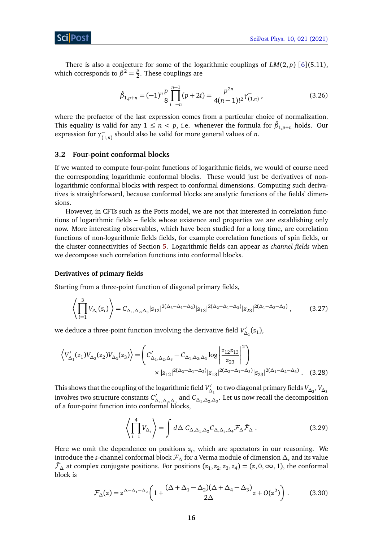There is also a conjecture for some of the logarithmic couplings of  $LM(2, p)$  [[6](#page-35-0)](5.11), which corresponds to  $\beta^2 = \frac{p}{2}$  $\frac{p}{2}$ . These couplings are

$$
\hat{\beta}_{1,p+n} = (-1)^n \frac{p}{8} \prod_{i=-n}^{n-1} (p+2i) = \frac{p^{2n}}{4(n-1)!^2} \gamma^{-}_{(1,n)},
$$
\n(3.26)

where the prefactor of the last expression comes from a particular choice of normalization. This equality is valid for any  $1 \leq n < p$ , i.e. whenever the formula for  $\hat{\beta}_{1,p+n}$  holds. Our expression for  $\gamma_{\text{C}1}^ \bar{C}_{(1,n)}$  should also be valid for more general values of *n*.

#### <span id="page-15-0"></span>**3.2 Four-point conformal blocks**

If we wanted to compute four-point functions of logarithmic fields, we would of course need the corresponding logarithmic conformal blocks. These would just be derivatives of nonlogarithmic conformal blocks with respect to conformal dimensions. Computing such derivatives is straightforward, because conformal blocks are analytic functions of the fields' dimensions.

However, in CFTs such as the Potts model, we are not that interested in correlation functions of logarithmic fields – fields whose existence and properties we are establishing only now. More interesting observables, which have been studied for a long time, are correlation functions of non-logarithmic fields fields, for example correlation functions of spin fields, or the cluster connectivities of Section [5.](#page-24-0) Logarithmic fields can appear as *channel fields* when we decompose such correlation functions into conformal blocks.

#### **Derivatives of primary fields**

Starting from a three-point function of diagonal primary fields,

$$
\left\langle \prod_{i=1}^{3} V_{\Delta_i}(z_i) \right\rangle = C_{\Delta_1, \Delta_2, \Delta_3} |z_{12}|^{2(\Delta_3 - \Delta_1 - \Delta_2)} |z_{13}|^{2(\Delta_2 - \Delta_1 - \Delta_3)} |z_{23}|^{2(\Delta_1 - \Delta_2 - \Delta_3)}, \tag{3.27}
$$

we deduce a three-point function involving the derivative field  $V'_{\alpha}$  $a_1'$  $(a_1)$ ,

$$
\left\langle V'_{\Delta_1}(z_1)V_{\Delta_2}(z_2)V_{\Delta_3}(z_3)\right\rangle = \left(C'_{\Delta_1,\Delta_2,\Delta_3} - C_{\Delta_1,\Delta_2,\Delta_3}\log\left|\frac{z_{12}z_{13}}{z_{23}}\right|^2\right) \times |z_{12}|^{2(\Delta_3-\Delta_1-\Delta_2)}|z_{13}|^{2(\Delta_2-\Delta_1-\Delta_3)}|z_{23}|^{2(\Delta_1-\Delta_2-\Delta_3)}.
$$
 (3.28)

This shows that the coupling of the logarithmic field  $V'_{\alpha}$  $V'_{\Delta_1}$  to two diagonal primary fields  $V_{\Delta_2}$ ,  $V_{\Delta_3}$ involves two structure constants  $C'_{\ell}$ *∆*<sup>1</sup> ,*∆*<sup>2</sup> ,*∆*<sup>3</sup> and *C∆*<sup>1</sup> ,*∆*<sup>2</sup> ,*∆*<sup>3</sup> . Let us now recall the decomposition of a four-point function into conformal blocks,

<span id="page-15-2"></span><span id="page-15-1"></span>
$$
\left\langle \prod_{i=1}^{4} V_{\Delta_i} \right\rangle = \int d\Delta \ C_{\Delta,\Delta_1,\Delta_2} C_{\Delta,\Delta_3,\Delta_4} \mathcal{F}_{\Delta} \bar{\mathcal{F}}_{\Delta} \ . \tag{3.29}
$$

Here we omit the dependence on positions *z<sup>i</sup>* , which are spectators in our reasoning. We introduce the *s*-channel conformal block F*<sup>∆</sup>* for a Verma module of dimension *∆*, and its value  $\bar{\mathcal{F}}_{\Delta}$  at complex conjugate positions. For positions  $(z_1, z_2, z_3, z_4) = (z, 0, \infty, 1)$ , the conformal block is

$$
\mathcal{F}_{\Delta}(z) = z^{\Delta - \Delta_1 - \Delta_2} \left( 1 + \frac{(\Delta + \Delta_1 - \Delta_2)(\Delta + \Delta_4 - \Delta_3)}{2\Delta} z + O(z^2) \right). \tag{3.30}
$$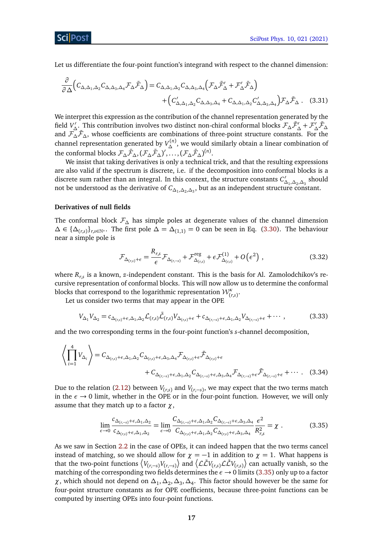Let us differentiate the four-point function's integrand with respect to the channel dimension:

$$
\frac{\partial}{\partial \Delta} \Big( C_{\Delta,\Delta_1,\Delta_2} C_{\Delta,\Delta_3,\Delta_4} \mathcal{F}_{\Delta} \bar{\mathcal{F}}_{\Delta} \Big) = C_{\Delta,\Delta_1,\Delta_2} C_{\Delta,\Delta_3,\Delta_4} \Big( \mathcal{F}_{\Delta} \bar{\mathcal{F}}_{\Delta}^{\prime} + \mathcal{F}_{\Delta}^{\prime} \bar{\mathcal{F}}_{\Delta} \Big) \n+ \Big( C_{\Delta,\Delta_1,\Delta_2}^{\prime} C_{\Delta,\Delta_3,\Delta_4} + C_{\Delta,\Delta_1,\Delta_2} C_{\Delta,\Delta_3,\Delta_4}^{\prime} \Big) \mathcal{F}_{\Delta} \bar{\mathcal{F}}_{\Delta} .
$$
\n(3.31)

We interpret this expression as the contribution of the channel representation generated by the field  $V'_{\Lambda}$ *∆*. This contribution involves two distinct non-chiral conformal blocks  $\mathcal{F}_{\Delta} \bar{\mathcal{F}}'_{\Delta} + \mathcal{F}'_{\Delta} \bar{\mathcal{F}}_{\Delta}$ and  $\overline{\mathcal{F}_{\Delta}}\overline{\mathcal{F}}_{\Delta}$ , whose coefficients are combinations of three-point structure constants. For the channel representation generated by  $V_{\Delta}^{(n)}$ , we would similarly obtain a linear combination of the conformal blocks  $\mathcal{F}_{\Delta} \bar{\mathcal{F}}_{\Delta}$ ,  $(\mathcal{F}_{\Delta} \bar{\mathcal{F}}_{\Delta})'$ , ...,  $(\mathcal{F}_{\Delta} \bar{\mathcal{F}}_{\Delta})^{(n)}$ .

We insist that taking derivatives is only a technical trick, and that the resulting expressions are also valid if the spectrum is discrete, i.e. if the decomposition into conformal blocks is a discrete sum rather than an integral. In this context, the structure constants *C* 0 *∆*<sup>1</sup> ,*∆*<sup>2</sup> ,*∆*<sup>3</sup> should not be understood as the derivative of *C∆*<sup>1</sup> ,*∆*<sup>2</sup> ,*∆*<sup>3</sup> , but as an independent structure constant.

#### **Derivatives of null fields**

The conformal block F*<sup>∆</sup>* has simple poles at degenerate values of the channel dimension  $\Delta \in {\{\Delta_{(r,s)}\}}_{r,s \in \mathbb{N}^*}$ . The first pole  $\Delta = \Delta_{(1,1)} = 0$  can be seen in Eq. [\(3.30\)](#page-15-1). The behaviour near a simple pole is

<span id="page-16-1"></span>
$$
\mathcal{F}_{\Delta_{(r,s)}+\epsilon} = \frac{R_{r,s}}{\epsilon} \mathcal{F}_{\Delta_{(r,-s)}} + \mathcal{F}_{\Delta_{(r,s)}}^{\text{reg}} + \epsilon \mathcal{F}_{\Delta_{(r,s)}}^{(1)} + O\left(\epsilon^2\right) ,\qquad (3.32)
$$

where *Rr*,*<sup>s</sup>* is a known, *z*-independent constant. This is the basis for Al. Zamolodchikov's recursive representation of conformal blocks. This will now allow us to determine the conformal blocks that correspond to the logarithmic representation  $W^k_{(r,s)}$ .

Let us consider two terms that may appear in the OPE

$$
V_{\Delta_1} V_{\Delta_2} = c_{\Delta_{(r,s)} + \epsilon, \Delta_1, \Delta_2} \mathcal{L}_{(r,s)} \bar{\mathcal{L}}_{(r,s)} V_{\Delta_{(r,s)} + \epsilon} + c_{\Delta_{(r,-s)} + \epsilon, \Delta_1, \Delta_2} V_{\Delta_{(r,-s)} + \epsilon} + \cdots,
$$
\n(3.33)

and the two corresponding terms in the four-point function's *s*-channel decomposition,

$$
\left\langle \prod_{i=1}^{4} V_{\Delta_{i}} \right\rangle = C_{\Delta_{(r,s)} + \epsilon, \Delta_{1}, \Delta_{2}} C_{\Delta_{(r,s)} + \epsilon, \Delta_{3}, \Delta_{4}} \mathcal{F}_{\Delta_{(r,s)} + \epsilon} \bar{\mathcal{F}}_{\Delta_{(r,s)} + \epsilon} + C_{\Delta_{(r,-s)} + \epsilon, \Delta_{1}, \Delta_{2}} C_{\Delta_{(r,-s)} + \epsilon, \Delta_{3}, \Delta_{4}} \mathcal{F}_{\Delta_{(r,-s)} + \epsilon} \bar{\mathcal{F}}_{\Delta_{(r,-s)} + \epsilon} + \cdots
$$
 (3.34)

Due to the relation [\(2.12\)](#page-4-2) between *V*(*r*,*s*) and *V*(*r*,−*s*) , we may expect that the two terms match in the  $\epsilon \rightarrow 0$  limit, whether in the OPE or in the four-point function. However, we will only assume that they match up to a factor *χ*,

<span id="page-16-0"></span>
$$
\lim_{\epsilon \to 0} \frac{c_{\Delta_{(r,-s)} + \epsilon, \Delta_1, \Delta_2}}{c_{\Delta_{(r,s)} + \epsilon, \Delta_1, \Delta_2}} = \lim_{\epsilon \to 0} \frac{C_{\Delta_{(r,-s)} + \epsilon, \Delta_1, \Delta_2} C_{\Delta_{(r,-s)} + \epsilon, \Delta_3, \Delta_4}}{C_{\Delta_{(r,s)} + \epsilon, \Delta_1, \Delta_2} C_{\Delta_{(r,s)} + \epsilon, \Delta_3, \Delta_4}} \frac{\epsilon^2}{R_{r,s}^2} = \chi.
$$
\n(3.35)

As we saw in Section [2.2](#page-4-0) in the case of OPEs, it can indeed happen that the two terms cancel instead of matching, so we should allow for  $\chi = -1$  in addition to  $\chi = 1$ . What happens is that the two-point functions  $\left\langle V_{(r,-s)} V_{(r,-s)} \right\rangle$  and  $\left\langle \mathcal{L} \bar{\mathcal{L}} V_{(r,s)} \mathcal{L} \bar{\mathcal{L}} V_{(r,s)} \right\rangle$  can actually vanish, so the matching of the corresponding two fields determines the *ε* → 0 limits [\(3.35\)](#page-16-0) only up to a factor *χ*, which should not depend on  $\Delta_1$ ,  $\Delta_2$ ,  $\Delta_3$ ,  $\Delta_4$ . This factor should however be the same for four-point structure constants as for OPE coefficients, because three-point functions can be computed by inserting OPEs into four-point functions.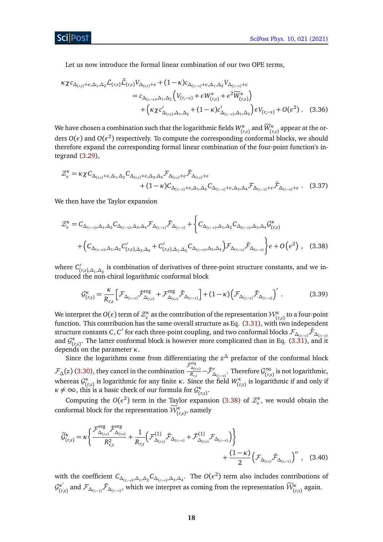Let us now introduce the formal linear combination of our two OPE terms,

$$
\kappa \chi c_{\Delta_{(r,s)} + \epsilon, \Delta_1, \Delta_2} \mathcal{L}_{(r,s)} \bar{\mathcal{L}}_{(r,s)} V_{\Delta_{(r,s)} + \epsilon} + (1 - \kappa) c_{\Delta_{(r,-s)} + \epsilon, \Delta_1, \Delta_2} V_{\Delta_{(r,-s)} + \epsilon}
$$
  
=  $c_{\Delta_{(r,-s)}, \Delta_1, \Delta_2} \left( V_{(r,-s)} + \epsilon W_{(r,s)}^{\kappa} + \epsilon^2 \widetilde{W}_{(r,s)}^{\kappa} \right)$   
+  $\left( \kappa \chi c'_{\Delta_{(r,s)}, \Delta_1, \Delta_2} + (1 - \kappa) c'_{\Delta_{(r,-s)}, \Delta_1, \Delta_2} \right) \epsilon V_{(r,-s)} + O(\epsilon^2)$ . (3.36)

We have chosen a combination such that the logarithmic fields  $W_{(r,s)}^{\kappa}$  and  $\widetilde{W}_{(r,s)}^{\kappa}$  appear at the orders  $O(\epsilon)$  and  $O(\epsilon^2)$  respectively. To compute the corresponding conformal blocks, we should therefore expand the corresponding formal linear combination of the four-point function's integrand [\(3.29\)](#page-15-2),

<span id="page-17-1"></span>
$$
\mathcal{Z}_{\epsilon}^{\kappa} = \kappa \chi C_{\Delta_{(r,s)} + \epsilon, \Delta_1, \Delta_2} C_{\Delta_{(r,s)} + \epsilon, \Delta_3, \Delta_4} \mathcal{F}_{\Delta_{(r,s)} + \epsilon} \bar{\mathcal{F}}_{\Delta_{(r,s)} + \epsilon} + (1 - \kappa) C_{\Delta_{(r,-s)} + \epsilon, \Delta_1, \Delta_2} C_{\Delta_{(r,-s)} + \epsilon, \Delta_3, \Delta_4} \mathcal{F}_{\Delta_{(r,-s)} + \epsilon} \bar{\mathcal{F}}_{\Delta_{(r,-s)} + \epsilon}.
$$
 (3.37)

We then have the Taylor expansion

$$
\mathcal{Z}_{\epsilon}^{\kappa} = C_{\Delta_{(r,-s)},\Delta_{1},\Delta_{2}} C_{\Delta_{(r,-s)},\Delta_{3},\Delta_{4}} \mathcal{F}_{\Delta_{(r,-s)}} \bar{\mathcal{F}}_{\Delta_{(r,-s)}} + \left\{ C_{\Delta_{(r,-s)},\Delta_{1},\Delta_{2}} C_{\Delta_{(r,-s)},\Delta_{3},\Delta_{4}} \mathcal{G}_{(r,s)}^{\kappa} + \left( C_{\Delta_{(r,-s)},\Delta_{1},\Delta_{2}} C'_{\Delta_{(r,-s)},\Delta_{3},\Delta_{4}} \right) \mathcal{F}_{\Delta_{(r,-s)}} \bar{\mathcal{F}}_{\Delta_{(r,-s)}} \right\} \epsilon + O(\epsilon^{2}), \quad (3.38)
$$

where  $C'$ (*r*,*s*),*∆*<sup>1</sup> ,*∆*<sup>2</sup> is combination of derivatives of three-point structure constants, and we introduced the non-chiral logarithmic conformal block

<span id="page-17-2"></span><span id="page-17-0"></span>
$$
\mathcal{G}_{(r,s)}^{\kappa} = \frac{\kappa}{R_{r,s}} \left[ \mathcal{F}_{\Delta_{(r,-s)}} \bar{\mathcal{F}}_{\Delta_{(r,s)}}^{\text{reg}} + \mathcal{F}_{\Delta_{(r,s)}}^{\text{reg}} \bar{\mathcal{F}}_{\Delta_{(r,-s)}} \right] + (1-\kappa) \left( \mathcal{F}_{\Delta_{(r,-s)}} \bar{\mathcal{F}}_{\Delta_{(r,-s)}} \right)' \tag{3.39}
$$

We interpret the  $O(\epsilon)$  term of  $\mathcal{Z}_{\epsilon}^{\kappa}$  as the contribution of the representation  $\mathcal{W}_{(r,s)}^{\kappa}$  to a four-point function. This contribution has the same overall structure as Eq. [\(3.31\)](#page-16-1), with two independent structure contants *C*, *C*<sup> $\prime$ </sup> for each three-point coupling, and two conformal blocks  $\mathcal{F}_{\Delta(r,-s)}\bar{\mathcal{F}}_{\Delta(r,-s)}$ and G *κ*  $(\mathcal{C}_{(r,s)})$ . The latter conformal block is however more complicated than in Eq. [\(3.31\)](#page-16-1), and it depends on the parameter *κ*.

Since the logarithms come from differentiating the  $z^{\Delta}$  prefactor of the conformal block F*∆*(*z*) [\(3.30\)](#page-15-1), they cancel in the combination  $\bar{\mathcal{F}}^{\rm reg}_{\Delta(r,s)}$  $\frac{\Delta_{(r,s)}}{R_{r,s}}-\bar{\cal F}^{\prime}_{\Delta_{(r,-s)}}.$  Therefore  ${\cal G}^{\infty}_{(r,s)}$  is not logarithmic, whereas G *κ*  $K_{(r,s)}$  is logarithmic for any finite *κ*. Since the field  $W_{(r,s)}^K$  is logarithmic if and only if  $\kappa \neq \infty$ , this is a basic check of our formula for  $\mathcal{G}_{\kappa}^{\kappa}$ (*r*,*s*) .

Computing the  $O(\epsilon^2)$  term in the Taylor expansion [\(3.38\)](#page-17-0) of  $\mathcal{Z}_{\epsilon}^{\kappa}$ , we would obtain the conformal block for the representation  $\widetilde{\mathcal{W}}^{\kappa}_{(r,s)},$  namely

<span id="page-17-3"></span>
$$
\widetilde{\mathcal{G}}_{(r,s)}^{\kappa} = \kappa \left\{ \frac{\mathcal{F}_{\Delta_{(r,s)}}^{\text{reg}} \bar{\mathcal{F}}_{\Delta_{(r,s)}}^{\text{reg}}}{R_{r,s}^2} + \frac{1}{R_{r,s}} \left( \mathcal{F}_{\Delta_{(r,s)}}^{(1)} \bar{\mathcal{F}}_{\Delta_{(r,-s)}} + \bar{\mathcal{F}}_{\Delta_{(r,s)}}^{(1)} \mathcal{F}_{\Delta_{(r,-s)}} \right) \right\} + \frac{(1-\kappa)}{2} \left( \mathcal{F}_{\Delta_{(r,s)}} \bar{\mathcal{F}}_{\Delta_{(r,-s)}} \right)^{\prime\prime}, \quad (3.40)
$$

with the coefficient  $C_{\Delta(r,-s),\Delta_1,\Delta_2}C_{\Delta(r,-s),\Delta_3,\Delta_4}$ . The  $O(\epsilon^2)$  term also includes contributions of G *κ* 0  $(\sigma_{(r,s)}^{\kappa'})$  and  $\mathcal{F}_{\Delta_{(r,-s)}}\bar{\mathcal{F}}_{\Delta_{(r,-s)}},$  which we interpret as coming from the representation  $\widetilde{\mathcal{W}}_{(r,s)}^{\kappa}$  again.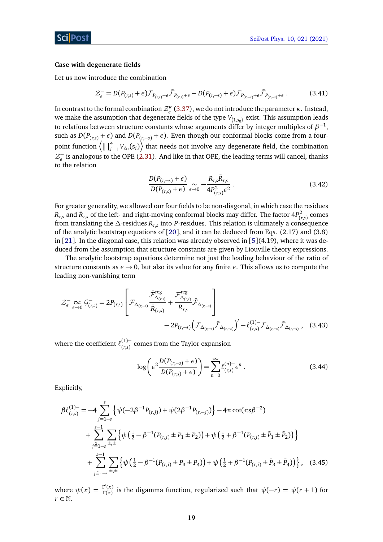#### **Case with degenerate fields**

Let us now introduce the combination

$$
\mathcal{Z}_{\epsilon}^{-} = D(P_{(r,s)} + \epsilon) \mathcal{F}_{P_{(r,s)} + \epsilon} \bar{\mathcal{F}}_{P_{(r,s)} + \epsilon} + D(P_{(r,-s)} + \epsilon) \mathcal{F}_{P_{(r,-s)} + \epsilon} \bar{\mathcal{F}}_{P_{(r,-s)} + \epsilon}.
$$
(3.41)

In contrast to the formal combination  $\mathcal{Z}^{\kappa}_{\epsilon}$  [\(3.37\)](#page-17-1), we do not introduce the parameter  $\kappa$ . Instead, we make the assumption that degenerate fields of the type  $V_{\langle 1, s_0\rangle}$  exist. This assumption leads to relations between structure constants whose arguments differ by integer multiples of  $\beta^{-1}$ , such as  $D(P_{(r,s)} + \epsilon)$  and  $D(P_{(r,-s)} + \epsilon)$ . Even though our conformal blocks come from a fourpoint function  $\left\langle \prod_{i=1}^4 V_{\Delta_i}(z_i) \right\rangle$  that needs not involve any degenerate field, the combination  $\mathcal{Z}_\epsilon^ \bar{\epsilon}$  is analogous to the OPE [\(2.31\)](#page-7-0). And like in that OPE, the leading terms will cancel, thanks to the relation

$$
\frac{D(P_{(r,-s)}+\epsilon)}{D(P_{(r,s)}+\epsilon)} \sim \frac{R_{r,s}\bar{R}_{r,s}}{4P_{(r,s)}^2\epsilon^2}.
$$
\n(3.42)

For greater generality, we allowed our four fields to be non-diagonal, in which case the residues  $R_{r,s}$  and  $\bar{R}_{r,s}$  of the left- and right-moving conformal blocks may differ. The factor  $4P_{(r,s)}^2$  comes (*r*,*s*) from translating the *∆*-residues *Rr*,*<sup>s</sup>* into *P*-residues. This relation is ultimately a consequence of the analytic bootstrap equations of [[20](#page-35-14)], and it can be deduced from Eqs. (2.17) and (3.8) in  $[21]$  $[21]$  $[21]$ . In the diagonal case, this relation was already observed in  $[5](4.19)$  $[5](4.19)$  $[5](4.19)$ , where it was deduced from the assumption that structure constants are given by Liouville theory expressions.

The analytic bootstrap equations determine not just the leading behaviour of the ratio of structure constants as  $\epsilon \rightarrow 0$ , but also its value for any finite  $\epsilon$ . This allows us to compute the leading non-vanishing term

$$
\mathcal{Z}_{\epsilon}^{-} \underset{\epsilon \to 0}{\propto} \mathcal{G}_{(r,s)}^{-} = 2P_{(r,s)} \left[ \mathcal{F}_{\Delta_{(r,-s)}} \frac{\bar{\mathcal{F}}_{\Delta_{(r,s)}}^{reg}}{\bar{R}_{(r,s)}} + \frac{\mathcal{F}_{\Delta_{(r,s)}}^{reg}}{R_{r,s}} \bar{\mathcal{F}}_{\Delta_{(r,-s)}} \right] - 2P_{(r,-s)} \left( \mathcal{F}_{\Delta_{(r,-s)}} \bar{\mathcal{F}}_{\Delta_{(r,-s)}} \right)' - \ell_{(r,s)}^{(1)-} \mathcal{F}_{\Delta_{(r,-s)}} \bar{\mathcal{F}}_{\Delta_{(r,-s)}}, \quad (3.43)
$$

where the coefficient  $\ell_{(rs)}^{(1)-}$  $\binom{1}{r,s}$  comes from the Taylor expansion

<span id="page-18-1"></span><span id="page-18-0"></span>
$$
\log\left(\epsilon^2 \frac{D(P_{(r,-s)} + \epsilon)}{D(P_{(r,s)} + \epsilon)}\right) = \sum_{n=0}^{\infty} \ell_{(r,s)}^{(n)-} \epsilon^n . \tag{3.44}
$$

Explicitly,

$$
\beta \ell_{(r,s)}^{(1)-} = -4 \sum_{j=1-s}^{s} \left\{ \psi(-2\beta^{-1}P_{(r,j)}) + \psi(2\beta^{-1}P_{(r,-j)}) \right\} - 4\pi \cot(\pi s \beta^{-2}) \n+ \sum_{j=1-s}^{s-1} \sum_{\pm,\pm} \left\{ \psi\left(\frac{1}{2} - \beta^{-1}(P_{(r,j)} \pm P_1 \pm P_2)\right) + \psi\left(\frac{1}{2} + \beta^{-1}(P_{(r,j)} \pm \bar{P}_1 \pm \bar{P}_2)\right) \right\} \n+ \sum_{j=1-s}^{s-1} \sum_{\pm,\pm} \left\{ \psi\left(\frac{1}{2} - \beta^{-1}(P_{(r,j)} \pm P_3 \pm P_4)\right) + \psi\left(\frac{1}{2} + \beta^{-1}(P_{(r,j)} \pm \bar{P}_3 \pm \bar{P}_4)\right) \right\}, \quad (3.45)
$$

where  $\psi(x) = \frac{\Gamma'(x)}{\Gamma(x)}$ *Γ*(*x*) is the digamma function, regularized such that  $ψ(-r) = ψ(r + 1)$  for *r* ∈ N.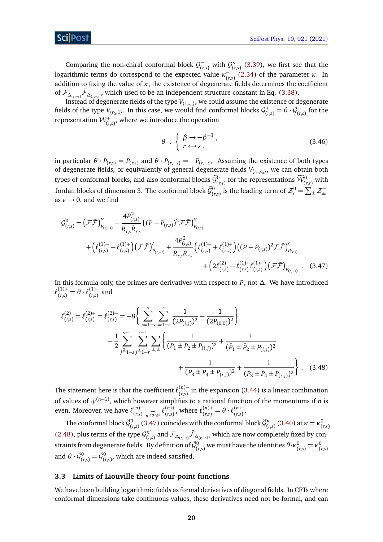Comparing the non-chiral conformal block  $\mathcal{G}_{\epsilon}^ C_{(r,s)}^-$  with  $\mathcal{G}_{(r,s)}^{\kappa}$  $K_{(r,s)}^{\kappa}$  [\(3.39\)](#page-17-2), we first see that the logarithmic terms do correspond to the expected value  $\kappa_{\alpha}^{-1}$ (*r*,*s*) [\(2.34\)](#page-8-3) of the parameter *κ*. In addition to fixing the value of *κ*, the existence of degenerate fields determines the coefficient of  $\mathcal{F}_{\Delta_{(r,-s)}}\bar{\mathcal{F}}_{\Delta_{(r,-s)}}$ , which used to be an independent structure constant in Eq. [\(3.38\)](#page-17-0).

Instead of degenerate fields of the type  $V_{\langle 1,s_0\rangle}$ , we could assume the existence of degenerate fields of the type  $V_{(r_0,1)}$ . In this case, we would find conformal blocks  $\mathcal{G}^+_{(r,s)} = \theta \cdot \mathcal{G}^-_{(r)}$  $\int_{(r,s)}$  for the representation  $\mathcal{W}_{(r,s)}^+$ , where we introduce the operation

<span id="page-19-1"></span>
$$
\theta : \begin{cases} \beta \to -\beta^{-1} \\ r \leftrightarrow s \end{cases}
$$
 (3.46)

in particular  $\theta \cdot P_{(r,s)} = P_{(r,s)}$  and  $\theta \cdot P_{(r,-s)} = -P_{(r,-s)}$ . Assuming the existence of both types of degenerate fields, or equivalently of general degenerate fields  $V_{\langle r_0, s_0 \rangle}$ , we can obtain both types of conformal blocks, and also conformal blocks  $\widetilde{\mathcal{G}}_{(r,s)}^0$  for the representations  $\widetilde{\mathcal{W}}_{(r,s)}^0$  with Jordan blocks of dimension 3. The conformal block  $\widetilde{\mathcal{G}}_{(r,s)}^0$  is the leading term of  $\mathcal{Z}^0_\epsilon = \sum_{\pm} \mathcal{Z}^-_{\pm\epsilon}$ as  $\epsilon \rightarrow 0$ , and we find

$$
\widetilde{\mathcal{G}}_{(r,s)}^{0} = (\mathcal{F}\bar{\mathcal{F}})_{P_{(r,-s)}}'' - \frac{4P_{(r,s)}^{2}}{R_{r,s}\bar{R}_{r,s}} \left( (P - P_{(r,s)})^{2} \mathcal{F}\bar{\mathcal{F}} \right)_{P_{(r,s)}}'' + \left( \ell_{(r,s)}^{(1)-} - \ell_{(r,s)}^{(1)+} \right) (\mathcal{F}\bar{\mathcal{F}})_{P_{(r,-s)}}' + \frac{4P_{(r,s)}^{2}}{R_{r,s}\bar{R}_{r,s}} \left( \ell_{(r,s)}^{(1)-} + \ell_{(r,s)}^{(1)+} \right) \left( (P - P_{(r,s)})^{2} \mathcal{F}\bar{\mathcal{F}} \right)_{P_{(r,s)}}' + \left( 2\ell_{(r,s)}^{(2)} - \ell_{(r,s)}^{(1)+} \ell_{(r,s)}^{(1)-} \right) (\mathcal{F}\bar{\mathcal{F}})_{P_{(r,-s)}}.
$$
\n(3.47)

In this formula only, the primes are derivatives with respect to *P*, not *∆*. We have introduced  $\ell_{(rs)}^{(1)+}$  $\binom{(1)+}{(r,s)} = \theta \cdot \ell \binom{(1)-}{(r,s)}$  $\binom{1}{r,s}$  and

$$
\ell_{(r,s)}^{(2)} = \ell_{(r,s)}^{(2)+} = \ell_{(r,s)}^{(2)-} = -8 \left\{ \sum_{j=1-s}^{s} \sum_{i=1-r}^{r} \frac{1}{(2P_{(i,j)})^2} - \frac{1}{(2P_{(0,0)})^2} \right\}
$$

$$
- \frac{1}{2} \sum_{j=1-s}^{s-1} \sum_{j=1-r}^{r-1} \sum_{\pm,\pm} \left\{ \frac{1}{(P_1 \pm P_2 \pm P_{(i,j)})^2} + \frac{1}{(\bar{P}_1 \pm \bar{P}_2 \pm P_{(i,j)})^2} + \frac{1}{(P_3 \pm P_4 \pm P_{(i,j)})^2} + \frac{1}{(\bar{P}_3 \pm \bar{P}_4 \pm P_{(i,j)})^2} \right\}. \quad (3.48)
$$

The statement here is that the coefficient  $\ell_{(r,s)}^{(n)-}$  in the expansion [\(3.44\)](#page-18-0) is a linear combination of values of  $\psi^{(n-1)}$ , which however simplifies to a rational function of the momentums if *n* is even. Moreover, we have  $\ell_{(rs)}^{(n)-}$  $(n)$ —  $=$   $\ell^{(n)+}$ <br>  $(r,s)$   $_{n\in 2\mathbb{N}^*}$   $\ell^{(n)+}$  $\binom{n}{r,s}$ , where  $\ell \binom{n}{r,s}$  $\binom{n}{r,s}$  =  $\theta \cdot \ell \binom{n}{r,s}$  $(n)$ —<br> $(r,s)$ 

The conformal block  $\widetilde{\mathcal{G}}_{(r,s)}^{0}$  [\(3.47\)](#page-19-1) coincides with the conformal block  $\widetilde{\mathcal{G}}_{(r,s)}^{\kappa}$  [\(3.40\)](#page-17-3) at  $\kappa=\kappa_0^0$ (*r*,*s*) [\(2.48\)](#page-10-3), plus terms of the type  $\mathcal{G}_{\epsilon}^{\kappa'}$ (*r*,*s*) and F*∆*(*r*,−*s*) <sup>F</sup>¯*∆*(*r*,−*s*) , which are now completely fixed by constraints from degenerate fields. By definition of  $\widetilde{\mathcal{G}}_{(r,s)}^0$  we must have the identities  $\theta\cdot\kappa_0^0$  $\binom{0}{r,s} = \kappa^0($ (*r*,*s*) and  $\theta \cdot \widetilde{\mathcal{G}}_{(r,s)}^0 = \widetilde{\mathcal{G}}_{(r,s)}^0$ , which are indeed satisfied.

#### <span id="page-19-0"></span>**3.3 Limits of Liouville theory four-point functions**

We have been building logarithmic fields as formal derivatives of diagonal fields. In CFTs where conformal dimensions take continuous values, these derivatives need not be formal, and can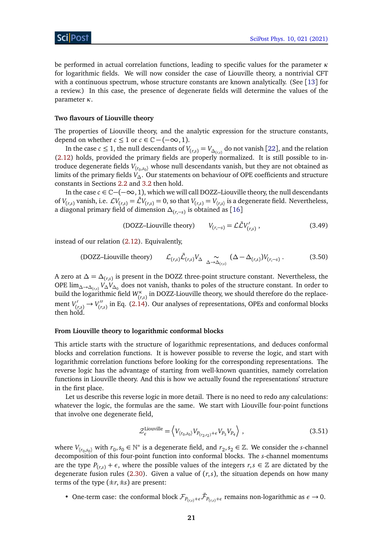be performed in actual correlation functions, leading to specific values for the parameter *κ* for logarithmic fields. We will now consider the case of Liouville theory, a nontrivial CFT with a continuous spectrum, whose structure constants are known analytically. (See [[13](#page-35-7)] for a review.) In this case, the presence of degenerate fields will determine the values of the parameter *κ*.

#### **Two flavours of Liouville theory**

The properties of Liouville theory, and the analytic expression for the structure constants, depend on whether  $c \le 1$  or  $c \in \mathbb{C} - (-\infty, 1)$ .

In the case *c* ≤ 1, the null descendants of  $V_{(r,s)} = V_{\Delta_{(r,s)}}$  do not vanish [[22](#page-35-16)], and the relation [\(2.12\)](#page-4-2) holds, provided the primary fields are properly normalized. It is still possible to introduce degenerate fields  $V_{\langle r_0,s_0\rangle}$  whose null descendants vanish, but they are not obtained as limits of the primary fields *V∆*. Our statements on behaviour of OPE coefficients and structure constants in Sections [2.2](#page-4-0) and [3.2](#page-15-0) then hold.

In the case  $c \in \mathbb{C} - (-\infty, 1)$ , which we will call DOZZ–Liouville theory, the null descendants of  $V_{(r,s)}$  vanish, i.e.  $\mathcal{L}V_{(r,s)} = \bar{\mathcal{L}}V_{(r,s)} = 0$ , so that  $V_{(r,s)} = V_{(r,s)}$  is a degenerate field. Nevertheless, a diagonal primary field of dimension *∆*(*r*,−*s*) is obtained as [[16](#page-35-10)]

(DOZZ–Liouville theory) 
$$
V_{(r,-s)} = \mathcal{L}\bar{\mathcal{L}}V'_{(r,s)}
$$
, (3.49)

instead of our relation [\(2.12\)](#page-4-2). Equivalently,

(DOZZ-Liouville theory) 
$$
\mathcal{L}_{(r,s)} \bar{\mathcal{L}}_{(r,s)} V_{\Delta} \underset{\Delta \to \Delta_{(r,s)}}{\sim} (\Delta - \Delta_{(r,s)}) V_{(r,-s)}
$$
. (3.50)

A zero at *∆* = *∆*(*r*,*s*) is present in the DOZZ three-point structure constant. Nevertheless, the OPE  $\lim_{\Delta\to\Delta(r,s)}V_\Delta V_{\Delta_0}$  does not vanish, thanks to poles of the structure constant. In order to build the logarithmic field  $W_{(r,s)}^{\kappa}$  in DOZZ-Liouville theory, we should therefore do the replacement  $V'_{(r,s)} \to V''_{(r,s)}$ (*r*,*s*) in Eq. [\(2.14\)](#page-5-1). Our analyses of representations, OPEs and conformal blocks then hold.

#### **From Liouville theory to logarithmic conformal blocks**

This article starts with the structure of logarithmic representations, and deduces conformal blocks and correlation functions. It is however possible to reverse the logic, and start with logarithmic correlation functions before looking for the corresponding representations. The reverse logic has the advantage of starting from well-known quantities, namely correlation functions in Liouville theory. And this is how we actually found the representations' structure in the first place.

Let us describe this reverse logic in more detail. There is no need to redo any calculations: whatever the logic, the formulas are the same. We start with Liouville four-point functions that involve one degenerate field,

<span id="page-20-0"></span>
$$
\mathcal{Z}_{\epsilon}^{\text{Liouville}} = \left\langle V_{(r_0, s_0)} V_{P_{(r_2, s_2)} + \epsilon} V_{P_3} V_{P_4} \right\rangle, \tag{3.51}
$$

where  $V_{(r_0,s_0)}$  with  $r_0,s_0 \in \mathbb{N}^*$  is a degenerate field, and  $r_2,s_2 \in \mathbb{Z}$ . We consider the *s*-channel decomposition of this four-point function into conformal blocks. The *s*-channel momentums are the type  $P_{(rs)} + \epsilon$ , where the possible values of the integers  $r, s \in \mathbb{Z}$  are dictated by the degenerate fusion rules [\(2.30\)](#page-7-1). Given a value of (*r*,*s*), the situation depends on how many terms of the type  $(\pm r, \pm s)$  are present:

• One-term case: the conformal block  $\mathcal{F}_{P_{(r,s)}+\epsilon}\bar{\mathcal{F}}_{P_{(r,s)}+\epsilon}$  remains non-logarithmic as  $\epsilon \to 0$ .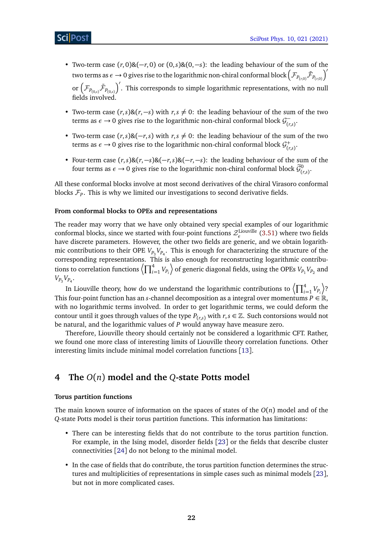- Two-term case (*r*, 0)&(−*r*, 0) or (0,*s*)&(0,−*s*): the leading behaviour of the sum of the two terms as  $\epsilon \to 0$  gives rise to the logarithmic non-chiral conformal block  $\left(\mathcal{F}_{P_{(r,0)}}\bar{\mathcal{F}}_{P_{(r,0)}}\right)'$ or  $(\mathcal{F}_{P_{(0,s)}}\bar{\mathcal{F}}_{P_{(0,s)}})'$ . This corresponds to simple logarithmic representations, with no null fields involved.
- Two-term case  $(r, s)$ & $(r, -s)$  with  $r, s \neq 0$ : the leading behaviour of the sum of the two terms as  $\epsilon \to 0$  gives rise to the logarithmic non-chiral conformal block  $\mathcal{G}_{\epsilon}^ \sum_{(r,s)}^{\infty}$
- Two-term case  $(r, s)$ & $(-r, s)$  with  $r, s \neq 0$ : the leading behaviour of the sum of the two terms as  $\epsilon \to 0$  gives rise to the logarithmic non-chiral conformal block  $\mathcal{G}^+_{(r,s)}$ .
- Four-term case (*r*,*s*)&(*r*,−*s*)&(−*r*,*s*)&(−*r*,−*s*): the leading behaviour of the sum of the four terms as  $\epsilon \to 0$  gives rise to the logarithmic non-chiral conformal block  $\widetilde{\mathcal{G}}_{(r,s)}^0.$

All these conformal blocks involve at most second derivatives of the chiral Virasoro conformal blocks  $\mathcal{F}_P$ . This is why we limited our investigations to second derivative fields.

#### **From conformal blocks to OPEs and representations**

The reader may worry that we have only obtained very special examples of our logarithmic conformal blocks, since we started with four-point functions  $\mathcal{Z}_{\epsilon}^{\text{Liouville}}$  [\(3.51\)](#page-20-0) where two fields have discrete parameters. However, the other two fields are generic, and we obtain logarithmic contributions to their OPE  $V_{P_3}V_{P_4}$ . This is enough for characterizing the structure of the corresponding representations. This is also enough for reconstructing logarithmic contributions to correlation functions  $\left<\prod_{i=1}^4 V_{P_i}\right>$  of generic diagonal fields, using the OPEs  $V_{P_1}V_{P_2}$  and  $V_{P_3}V_{P_4}$ .

In Liouville theory, how do we understand the logarithmic contributions to  $\left\langle \prod_{i=1}^4 V_{P_i} \right\rangle$ ? This four-point function has an *s*-channel decomposition as a integral over momentums  $P \in \mathbb{R}$ , with no logarithmic terms involved. In order to get logarithmic terms, we could deform the contour until it goes through values of the type  $P_{(r,s)}$  with  $r,s \in \mathbb{Z}$ . Such contorsions would not be natural, and the logarithmic values of *P* would anyway have measure zero.

Therefore, Liouville theory should certainly not be considered a logarithmic CFT. Rather, we found one more class of interesting limits of Liouville theory correlation functions. Other interesting limits include minimal model correlation functions [[13](#page-35-7)].

# <span id="page-21-0"></span>**4 The** *O*(*n*) **model and the** *Q***-state Potts model**

#### **Torus partition functions**

The main known source of information on the spaces of states of the *O*(*n*) model and of the *Q*-state Potts model is their torus partition functions. This information has limitations:

- There can be interesting fields that do not contribute to the torus partition function. For example, in the Ising model, disorder fields [[23](#page-36-0)] or the fields that describe cluster connectivities [[24](#page-36-1)] do not belong to the minimal model.
- In the case of fields that do contribute, the torus partition function determines the structures and multiplicities of representations in simple cases such as minimal models [[23](#page-36-0)], but not in more complicated cases.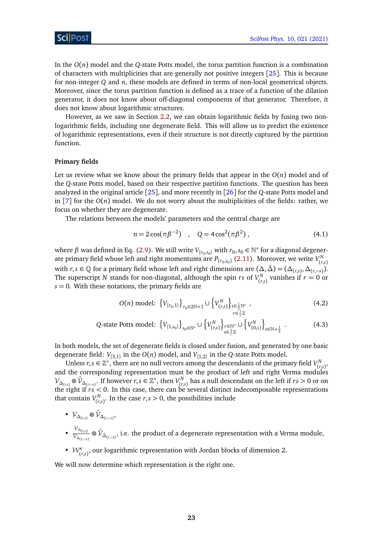In the *O*(*n*) model and the *Q*-state Potts model, the torus partition function is a combination of characters with multiplicities that are generally not positive integers [[25](#page-36-2)]. This is because for non-integer *Q* and *n*, these models are defined in terms of non-local geometrical objects. Moreover, since the torus partition function is defined as a trace of a function of the dilation generator, it does not know about off-diagonal components of that generator. Therefore, it does not know about logarithmic structures.

However, as we saw in Section [2.2,](#page-4-0) we can obtain logarithmic fields by fusing two nonlogarithmic fields, including one degenerate field. This will allow us to predict the existence of logarithmic representations, even if their structure is not directly captured by the partition function.

#### **Primary fields**

Let us review what we know about the primary fields that appear in the  $O(n)$  model and of the *Q*-state Potts model, based on their respective partition functions. The question has been analyzed in the original article [[25](#page-36-2)], and more recently in [[26](#page-36-3)] for the *Q*-state Potts model and in [[7](#page-35-1)] for the  $O(n)$  model. We do not worry about the multiplicities of the fields: rather, we focus on whether they are degenerate.

The relations between the models' parameters and the central charge are

<span id="page-22-0"></span>
$$
n = 2\cos(\pi\beta^{-2}) \quad , \quad Q = 4\cos^2(\pi\beta^2) \,, \tag{4.1}
$$

where  $\beta$  was defined in Eq. [\(2.9\)](#page-4-4). We still write  $V_{(r_0,s_0)}$  with  $r_0,s_0 \in \mathbb{N}^*$  for a diagonal degenerate primary field whose left and right momentums are  $P_{(r_0,s_0)}$  [\(2.11\)](#page-4-5). Moreover, we write  $V_{(r)}^N$ (*r*,*s*) with *r*,*s* ∈ ℚ for a primary field whose left and right dimensions are  $(\Delta, \bar{\Delta}) = (\Delta_{(r,s)}, \Delta_{(r,-s)})$ . The superscript *N* stands for non-diagonal, although the spin *rs* of  $V_{(r)}^N$  $C_{(r,s)}^N$  vanishes if  $r = 0$  or  $s = 0$ . With these notations, the primary fields are

<span id="page-22-1"></span>
$$
O(n) \text{ model: } \{V_{(r_0,1)}\}_{r_0 \in 2\mathbb{N}+1} \cup \{V_{(r,s)}^N\}_{s \in \frac{1}{2}\mathbb{N}^*} ,\tag{4.2}
$$

Q-state Potts model: 
$$
\{V_{(1,s_0)}\}_{s_0 \in \mathbb{N}^*} \cup \{V_{(r,s)}^N\}_{r \in \mathbb{N}^*} \cup \{V_{(0,s)}^N\}_{s \in \mathbb{N} + \frac{1}{2}}
$$
. (4.3)

In both models, the set of degenerate fields is closed under fusion, and generated by one basic degenerate field: *V*〈3,1〉 in the *O*(*n*) model, and *V*〈1,2〉 in the *Q*-state Potts model.

Unless *r*, *s*  $\in \mathbb{Z}^*$ , there are no null vectors among the descendants of the primary field  $V_{cr}^N$ (*r*,*s*) , and the corresponding representation must be the product of left and right Verma modules  $V_{\Delta(r,s)} \otimes V_{\Delta(r,-s)}$ . If however  $r, s \in \mathbb{Z}^*$ , then  $V_{(r,s)}^N$  $\int_{r,s}^{N}$  has a null descendant on the left if  $rs > 0$  or on the right if  $rs < 0$ . In this case, there can be several distinct indecomposable representations that contain  $V_{0}^N$  $C_{(r,s)}^N$ . In the case  $r,s > 0$ , the possibilities include

- $\mathcal{V}_{\Delta_{(r,s)}} \otimes \bar{\mathcal{V}}_{\Delta_{(r,-s)}},$
- $\cdot \frac{\mathcal{V}_{\Delta(r,s)}}{\mathcal{V}_{\Delta(r,s)}}$  $\frac{V\Delta(r,s)}{\mathcal{V}_{\Delta(r,-s)}}$ , i.e. the product of a degenerate representation with a Verma module,
- $W_{(r,s)}^{\kappa}$ , our logarithmic representation with Jordan blocks of dimension 2.

We will now determine which representation is the right one.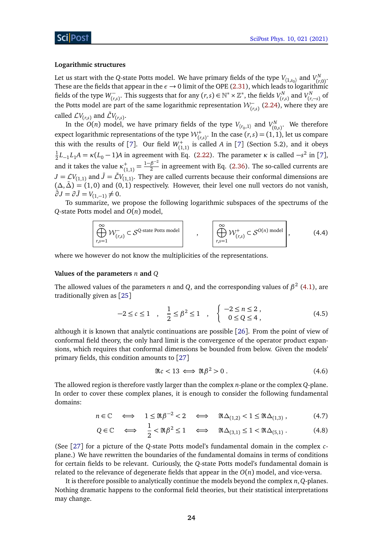#### **Logarithmic structures**

Let us start with the Q-state Potts model. We have primary fields of the type  $V_{\langle 1,s_0\rangle}$  and  $V_{(r_s)}^N$ (*r*,0) . These are the fields that appear in the  $\epsilon \rightarrow 0$  limit of the OPE [\(2.31\)](#page-7-0), which leads to logarithmic fields of the type  $W^-_{(r,s)}$ . This suggests that for any  $(r,s) \in \mathbb{N}^* \times \mathbb{Z}^*$ , the fields  $V^N_{(r,s)}$  $V^N_{(r,s)}$  and  $V^N_{(r,-s)}$  of the Potts model are part of the same logarithmic representation  $W^-_{(r,s)}(2.24)$  $W^-_{(r,s)}(2.24)$ , where they are called  $\mathcal{L}V_{(r,s)}$  and  $\bar{\mathcal{L}}V_{(r,s)}$ .

In the  $O(n)$  model, we have primary fields of the type  $V_{(r_0,1)}$  and  $V_{(0)}^N$  $C_{(0,s)}^N$ . We therefore expect logarithmic representations of the type  $\mathcal{W}^+_{(r,s)}.$  In the case  $(r,s)=(1,1),$  let us compare this with the results of [[7](#page-35-1)]. Our field  $W^+_{(1,1)}$  is called *A* in [7] (Section 5.2), and it obeys 1  $\frac{1}{2}L_{-1}L_1A = \kappa(L_0 - 1)A$  in agreement with Eq. [\(2.22\)](#page-6-0). The parameter *κ* is called  $-s^2$  in [[7](#page-35-1)], and it takes the value  $\kappa_{(1,1)}^+ = \frac{1-\beta^{-2}}{2}$  $J = \mathcal{L}V_{(1,1)}$  and  $\bar{J} = \bar{\mathcal{L}}V_{(1,1)}$ . They are called currents because their conformal dimensions are  $\frac{p}{2}$  in agreement with Eq. [\(2.36\)](#page-8-4). The so-called currents are  $(\Delta, \bar{\Delta}) = (1, 0)$  and  $(0, 1)$  respectively. However, their level one null vectors do not vanish,  $\overline{\partial} J = \partial \overline{J} = V_{(1,-1)} \neq 0.$ 

To summarize, we propose the following logarithmic subspaces of the spectrums of the *Q*-state Potts model and *O*(*n*) model,

$$
\bigoplus_{r,s=1}^{\infty} \mathcal{W}^-_{(r,s)} \subset \mathcal{S}^{\text{Q-state Potts model}}, \qquad \left\{ \bigoplus_{r,s=1}^{\infty} \mathcal{W}^+_{(r,s)} \subset \mathcal{S}^{\text{O}(n) \text{ model}}, \qquad (4.4)
$$

where we however do not know the multiplicities of the representations.

#### **Values of the parameters** *n* **and** *Q*

The allowed values of the parameters *n* and *Q*, and the corresponding values of  $\beta^2$  [\(4.1\)](#page-22-0), are traditionally given as [[25](#page-36-2)]

$$
-2 \le c \le 1 \quad , \quad \frac{1}{2} \le \beta^2 \le 1 \quad , \quad \begin{cases} \ -2 \le n \le 2 \,, \\ \ 0 \le Q \le 4 \,, \end{cases} \tag{4.5}
$$

although it is known that analytic continuations are possible [[26](#page-36-3)]. From the point of view of conformal field theory, the only hard limit is the convergence of the operator product expansions, which requires that conformal dimensions be bounded from below. Given the models' primary fields, this condition amounts to [[27](#page-36-4)]

$$
\Re c < 13 \iff \Re \beta^2 > 0 \tag{4.6}
$$

The allowed region is therefore vastly larger than the complex *n*-plane or the complex *Q*-plane. In order to cover these complex planes, it is enough to consider the following fundamental domains:

$$
n \in \mathbb{C} \quad \Longleftrightarrow \quad 1 \le \Re \beta^{-2} < 2 \quad \Longleftrightarrow \quad \Re \Delta_{(1,2)} < 1 \le \Re \Delta_{(1,3)} \,, \tag{4.7}
$$

$$
Q \in \mathbb{C} \quad \Longleftrightarrow \quad \frac{1}{2} < \Re \beta^2 \le 1 \quad \Longleftrightarrow \quad \Re \Delta_{(3,1)} \le 1 < \Re \Delta_{(5,1)} \,. \tag{4.8}
$$

(See [[27](#page-36-4)] for a picture of the *Q*-state Potts model's fundamental domain in the complex *c*plane.) We have rewritten the boundaries of the fundamental domains in terms of conditions for certain fields to be relevant. Curiously, the *Q*-state Potts model's fundamental domain is related to the relevance of degenerate fields that appear in the *O*(*n*) model, and vice-versa.

It is therefore possible to analytically continue the models beyond the complex *n*,*Q*-planes. Nothing dramatic happens to the conformal field theories, but their statistical interpretations may change.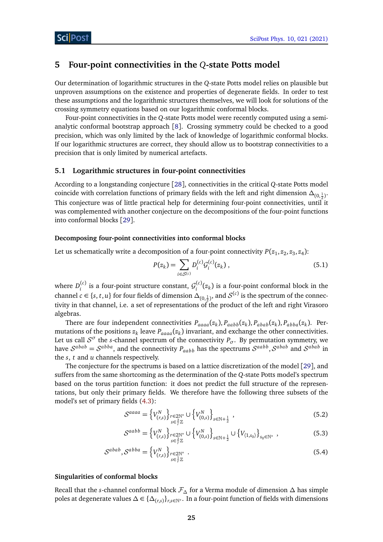# <span id="page-24-0"></span>**5 Four-point connectivities in the** *Q***-state Potts model**

Our determination of logarithmic structures in the *Q*-state Potts model relies on plausible but unproven assumptions on the existence and properties of degenerate fields. In order to test these assumptions and the logarithmic structures themselves, we will look for solutions of the crossing symmetry equations based on our logarithmic conformal blocks.

Four-point connectivities in the *Q*-state Potts model were recently computed using a semianalytic conformal bootstrap approach [[8](#page-35-2)]. Crossing symmetry could be checked to a good precision, which was only limited by the lack of knowledge of logarithmic conformal blocks. If our logarithmic structures are correct, they should allow us to bootstrap connectivities to a precision that is only limited by numerical artefacts.

#### <span id="page-24-1"></span>**5.1 Logarithmic structures in four-point connectivities**

According to a longstanding conjecture [[28](#page-36-5)], connectivities in the critical *Q*-state Potts model coincide with correlation functions of primary fields with the left and right dimension  $\Delta_{(0,\frac{1}{2})}$ . 2 This conjecture was of little practical help for determining four-point connectivities, until it was complemented with another conjecture on the decompositions of the four-point functions into conformal blocks [[29](#page-36-6)].

#### **Decomposing four-point connectivities into conformal blocks**

Let us schematically write a decomposition of a four-point connectivity  $P(z_1, z_2, z_3, z_4)$ :

<span id="page-24-2"></span>
$$
P(z_k) = \sum_{i \in S^{(c)}} D_i^{(c)} \mathcal{G}_i^{(c)}(z_k) , \qquad (5.1)
$$

where  $D_i^{(c)}$  $\mathcal{G}_i^{(c)}$  is a four-point structure constant,  $\mathcal{G}_i^{(c)}$  $\int_{i}^{(c)}(z_k)$  is a four-point conformal block in the channel  $c \in \{s, t, u\}$  for four fields of dimension  $\Delta_{(0, \frac{1}{2})}$ , and  $\mathcal{S}^{(c)}$  is the spectrum of the connectivity in that channel, i.e. a set of representations of the product of the left and right Virasoro algebras.

There are four independent connectivities  $P_{aaaa}(z_k)$ ,  $P_{aabb}(z_k)$ ,  $P_{abab}(z_k)$ ,  $P_{abba}(z_k)$ . Permutations of the positions  $z_k$  leave  $P_{aaaa}(z_k)$  invariant, and exchange the other connectivities. Let us call  $S^{\sigma}$  the *s*-channel spectrum of the connectivity  $P_{\sigma}$ . By permutation symmetry, we have  $\mathcal{S}^{abab}=\mathcal{S}^{abba}$ , and the connectivity  $P_{aabb}$  has the spectrums  $\mathcal{S}^{aabb},\mathcal{S}^{abab}$  and  $\mathcal{S}^{abab}$  in the *s*, *t* and *u* channels respectively.

The conjecture for the spectrums is based on a lattice discretization of the model [[29](#page-36-6)], and suffers from the same shortcoming as the determination of the *Q*-state Potts model's spectrum based on the torus partition function: it does not predict the full structure of the representations, but only their primary fields. We therefore have the following three subsets of the model's set of primary fields [\(4.3\)](#page-22-1):

<span id="page-24-3"></span>
$$
S^{aaaa} = \left\{ V_{(r,s)}^N \right\}_{\substack{r \in 2\mathbb{N}^* \\ s \in \frac{2}{r}\mathbb{Z}}} \cup \left\{ V_{(0,s)}^N \right\}_{s \in \mathbb{N} + \frac{1}{2}}, \tag{5.2}
$$

<span id="page-24-4"></span>
$$
S^{aabb} = \left\{ V_{(r,s)}^N \right\}_{\substack{r \in 2\mathbb{N}^*\\s \in \frac{2}{r}\mathbb{Z}}} \cup \left\{ V_{(0,s)}^N \right\}_{s \in \mathbb{N} + \frac{1}{2}} \cup \left\{ V_{(1,s_0)} \right\}_{s_0 \in \mathbb{N}^*},
$$
(5.3)

$$
S^{abab}, S^{abba} = \left\{ V_{(r,s)}^N \right\}_{\substack{r \in 2\mathbb{N}^* \\ s \in \frac{1}{r}\mathbb{Z}}} \,. \tag{5.4}
$$

#### **Singularities of conformal blocks**

Recall that the *s*-channel conformal block F*<sup>∆</sup>* for a Verma module of dimension *∆* has simple poles at degenerate values *<sup>∆</sup>* ∈ {*∆*(*r*,*s*) }*r*,*s*∈N<sup>∗</sup> . In a four-point function of fields with dimensions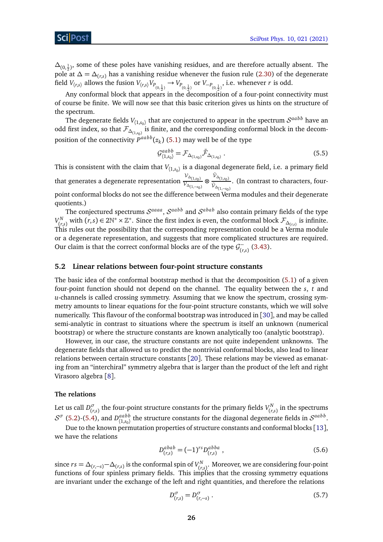## Sci Post

 $\Delta_{(0,\frac{1}{2})}$ , some of these poles have vanishing residues, and are therefore actually absent. The  $\frac{1}{2}$  ) pole at *∆* = *∆*(*r*,*s*) has a vanishing residue whenever the fusion rule [\(2.30\)](#page-7-1) of the degenerate field *V*<sub>(*r,s*)</sub> allows the fusion *V*<sub>(*r,s*)</sub> *V*<sub>*P*<sub>(0, 1</sub><sub>2</sub>)</sub> or *V*<sub>−*P*<sub>(0, 1<sup>2</sup>)</sub>, i.e. whenever *r* is odd.</sub>

Any conformal block that appears in the decomposition of a four-point connectivity must of course be finite. We will now see that this basic criterion gives us hints on the structure of the spectrum.

The degenerate fields  $V_{(1, s_0)}$  that are conjectured to appear in the spectrum  $\mathcal{S}^{aabb}$  have an odd first index, so that  $\mathcal{F}_{\Delta_{(1,s_0)}}$  is finite, and the corresponding conformal block in the decomposition of the connectivity  $P^{aabb}(z_k)$  [\(5.1\)](#page-24-2) may well be of the type

$$
\mathcal{G}^{aabb}_{(1,s_0)} = \mathcal{F}_{\Delta_{(1,s_0)}} \bar{\mathcal{F}}_{\Delta_{(1,s_0)}} \,. \tag{5.5}
$$

This is consistent with the claim that  $V_{\langle 1,s_0\rangle}$  is a diagonal degenerate field, i.e. a primary field that generates a degenerate representation  $\frac{\mathcal{V}_{\Delta_{(1,s_0)}}}{\mathcal{V}_{\Delta_{(1,-s_0)}}}$ ⊗  $\frac{\bar{\mathcal{V}}_{\Delta_{(1,s_0)}}}{\bar{\mathcal{V}}_{\Delta_{(1,-s_0)}}}$ . (In contrast to characters, fourpoint conformal blocks do not see the difference between Verma modules and their degenerate quotients.)

The conjectured spectrums  $\mathcal{S}^{aaaa}$ ,  $\mathcal{S}^{aabb}$  and  $\mathcal{S}^{abab}$  also contain primary fields of the type  $V_{\ell,r}^N$  $(r,s)$  with  $(r,s) \in 2\mathbb{N}^* \times \mathbb{Z}^*$ . Since the first index is even, the conformal block  $\mathcal{F}_{\Delta(r,s)}$  is infinite. This rules out the possibility that the corresponding representation could be a Verma module or a degenerate representation, and suggests that more complicated structures are required. Our claim is that the correct conformal blocks are of the type  $\mathcal{G}_{\alpha}^ \binom{(-)}{(r,s)}$  [\(3.43\)](#page-18-1).

#### <span id="page-25-0"></span>**5.2 Linear relations between four-point structure constants**

The basic idea of the conformal bootstrap method is that the decomposition [\(5.1\)](#page-24-2) of a given four-point function should not depend on the channel. The equality between the *s*, *t* and *u*-channels is called crossing symmetry. Assuming that we know the spectrum, crossing symmetry amounts to linear equations for the four-point structure constants, which we will solve numerically. This flavour of the conformal bootstrap was introduced in [[30](#page-36-7)], and may be called semi-analytic in contrast to situations where the spectrum is itself an unknown (numerical bootstrap) or where the structure constants are known analytically too (analytic bootstrap).

However, in our case, the structure constants are not quite independent unknowns. The degenerate fields that allowed us to predict the nontrivial conformal blocks, also lead to linear relations between certain structure constants [[20](#page-35-14)]. These relations may be viewed as emanating from an "interchiral" symmetry algebra that is larger than the product of the left and right Virasoro algebra [[8](#page-35-2)].

#### **The relations**

Let us call *D σ*  $C_{(r,s)}$  the four-point structure constants for the primary fields  $V_{(r,s)}^N$  $\binom{n}{r,s}$  in the spectrums  $S^{\sigma}$  [\(5.2\)](#page-24-3)-[\(5.4\)](#page-24-4), and  $D_{\langle 1,s_0 \rangle}^{aabb}$  the structure constants for the diagonal degenerate fields in  $S^{aabb}$ .

Due to the known permutation properties of structure constants and conformal blocks [[13](#page-35-7)], we have the relations

$$
D_{(r,s)}^{abab} = (-1)^{rs} D_{(r,s)}^{abba} , \qquad (5.6)
$$

since  $rs = \Delta_{(r,-s)} - \Delta_{(r,s)}$  is the conformal spin of  $V_{(r,s)}^N$ (*r*,*s*) . Moreover, we are considering four-point functions of four spinless primary fields. This implies that the crossing symmetry equations are invariant under the exchange of the left and right quantities, and therefore the relations

<span id="page-25-2"></span><span id="page-25-1"></span>
$$
D_{(r,s)}^{\sigma} = D_{(r,-s)}^{\sigma} \,. \tag{5.7}
$$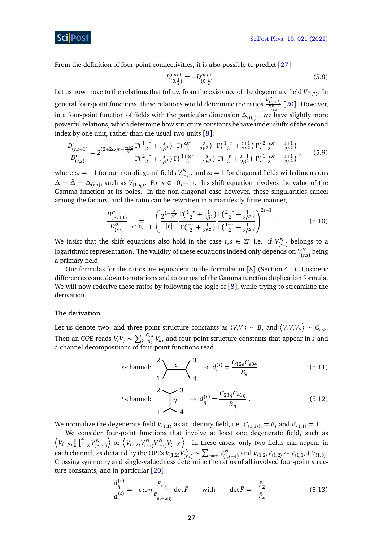From the definition of four-point connectivities, it is also possible to predict [[27](#page-36-4)]

<span id="page-26-2"></span><span id="page-26-1"></span>
$$
D_{(0,\frac{1}{2})}^{aabb} = -D_{(0,\frac{1}{2})}^{aaaaa} \,. \tag{5.8}
$$

Let us now move to the relations that follow from the existence of the degenerate field  $V_{\langle 1,2 \rangle}.$  In general four-point functions, these relations would determine the ratios  $\frac{D_{(r,s+2)}^{\sigma}}{D_{(r,s)}^{\sigma}}$  [[20](#page-35-14)]. However, in a four-point function of fields with the particular dimension  $\Delta_{(0, \frac{1}{2})}$ , we have slightly more powerful relations, which determine how structure constants behave under shifts of the second index by one unit, rather than the usual two units [[8](#page-35-2)]:

$$
\frac{D_{(r,s+1)}^{\sigma}}{D_{(r,s)}^{\sigma}} = 2^{(2+2\omega)r - \frac{4s+2}{\beta^2}} \frac{\Gamma(\frac{1-r}{2} + \frac{s}{2\beta^2})}{\Gamma(\frac{2-r}{2} + \frac{s}{2\beta^2})} \frac{\Gamma(\frac{\omega r}{2} - \frac{s}{2\beta^2})}{\Gamma(\frac{1+\omega r}{2} - \frac{s}{2\beta^2})} \frac{\Gamma(\frac{1-r}{2} + \frac{s+1}{2\beta^2})}{\Gamma(\frac{-r}{2} + \frac{s+1}{2\beta^2})} \frac{\Gamma(\frac{2+\omega r}{2} - \frac{s+1}{2\beta^2})}{\Gamma(\frac{1+\omega r}{2} - \frac{s+1}{2\beta^2})},
$$
(5.9)

where  $\omega = -1$  for our non-diagonal fields  $V_{(r)}^N$  $\sum_{(r,s)}^{N}$ , and  $\omega = 1$  for diagonal fields with dimensions  $\Delta = \bar{\Delta} = \Delta_{(r,s)}$ , such as *V*<sub>(1,*s*<sub>0</sub>)</sub>. For *s* ∈ {0,−1}, this shift equation involves the value of the Gamma function at its poles. In the non-diagonal case however, these singularities cancel among the factors, and the ratio can be rewritten in a manifestly finite manner,

$$
\frac{D_{(r,s+1)}^{\sigma}}{D_{(r,s)}^{\sigma}} \underset{s \in \{0,-1\}}{=} \left( \frac{2^{1-\frac{2}{\beta^2}} \Gamma(\frac{1-r}{2} + \frac{1}{2\beta^2})}{|r|} \frac{\Gamma(\frac{2-r}{2} - \frac{1}{2\beta^2})}{\Gamma(\frac{-r}{2} + \frac{1}{2\beta^2})} \right)^{2s+1} . \tag{5.10}
$$

We insist that the shift equations also hold in the case  $r, s \in \mathbb{Z}^*$  i.e. if  $V_{cr}^N$  $\binom{r}{r,s}$  belongs to a logarithmic representation. The validity of these equations indeed only depends on  $V_{\ell r}^N$  $_{\left( r,s\right) }^{rN}$  being a primary field.

Our formulas for the ratios are equivalent to the formulas in [[8](#page-35-2)] (Section 4.1). Cosmetic differences come down to notations and to our use of the Gamma function duplication formula. We will now rederive these ratios by following the logic of [[8](#page-35-2)], while trying to streamline the derivation.

#### **The derivation**

Let us denote two- and three-point structure constants as  $\langle V_i V_i\rangle\thicksim B_i$  and  $\big\langle V_i V_j V_k\big\rangle\thicksim C_{ijk}.$ Then an OPE reads  $V_iV_j \sim \sum_k$  $c_{ijk}$  $\frac{P_t/k}{B_k}V_k$ , and four-point structure constants that appear in *s* and *t*-channel decompositions of four-point functions read

s-channel: 
$$
\frac{2}{1} \left\{ \int_{4}^{\epsilon} \phi \right\} \rightarrow d_{\epsilon}^{(s)} = \frac{C_{12\epsilon} C_{\epsilon 34}}{B_{\epsilon}},
$$
 (5.11)

t-channel: 
$$
\frac{2}{\eta} \longrightarrow \frac{3}{4} \longrightarrow d_{\eta}^{(t)} = \frac{C_{23\eta} C_{41\eta}}{B_{\eta}}.
$$
 (5.12)

We normalize the degenerate field  $V_{(1,1)}$  as an identity field, i.e.  $C_{(1,1)i} = B_i$  and  $B_{(1,1)} = 1$ .

We consider four-point functions that involve at least one degenerate field, such as  $\left\langle V_{\langle 1,2\rangle}\prod_{i=2}^4 V_{(r_i)}^N\right\rangle$  $(r_i, s_i)$  $\left\langle V_{(1,2)} V_{(r)}^N \right\rangle$  $V^N_{(r,s)}V^N_{(r,s)}$  $\binom{N}{(r,s)}V_{(1,2)}$  . In these cases, only two fields can appear in each channel, as dictated by the OPEs  $V_{(1,2)}V_{(r)}^N$  $V_{(r,s)}^N \sim \sum_{\epsilon=\pm} V_{(r,s)}^N$  $V_{(r,s+\epsilon)}^{N}$  and  $V_{(1,2)}V_{(1,2)} \sim V_{(1,1)} + V_{(1,3)}$ . Crossing symmetry and single-valuedness determine the ratios of all involved four-point structure constants, and in particular [[20](#page-35-14)]

<span id="page-26-0"></span>
$$
\frac{d_{\eta}^{(t)}}{d_{\epsilon}^{(s)}} = -\epsilon \omega \eta \frac{F_{\epsilon, \eta}}{\bar{F}_{\epsilon, -\omega \eta}} \det \bar{F} \quad \text{with} \quad \det \bar{F} = -\frac{\bar{P}_2}{\bar{P}_4} \,. \tag{5.13}
$$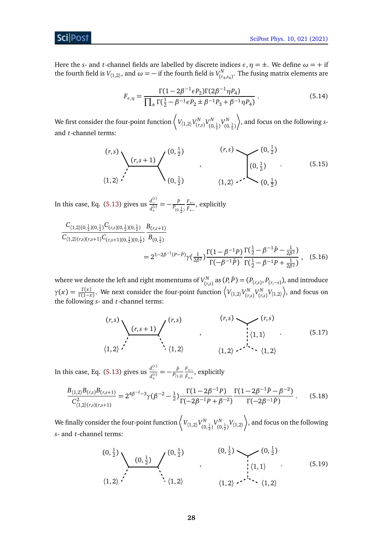## **ScilPost**

Here the *s*- and *t*-channel fields are labelled by discrete indices  $\epsilon$ ,  $\eta = \pm$ . We define  $\omega = +$  if the fourth field is  $V_{(1,2)}$ , and  $\omega = -$  if the fourth field is  $V_{(r)}^N$  $\binom{rN}{(r_4,s_4)}$ . The fusing matrix elements are

$$
F_{\epsilon,\eta} = \frac{\Gamma(1 - 2\beta^{-1}\epsilon P_2)\Gamma(2\beta^{-1}\eta P_4)}{\prod_{\pm} \Gamma(\frac{1}{2} - \beta^{-1}\epsilon P_2 \pm \beta^{-1}P_3 + \beta^{-1}\eta P_4)}.
$$
(5.14)

We first consider the four-point function  $\left\langle V_{(1,2)} V_{(1,2)}^N \right\rangle$  $V_{(r,s)}^N V_{(0,\frac{1}{2})}^N V_{(0,\frac{1}{2})}^N$ · , and focus on the following *s*and *t*-channel terms:

$$
\begin{array}{ccc}\n(r,s) & (r,s+1) & (0,\frac{1}{2}) & (r,s) & (0,\frac{1}{2}) \\
\vdots & \vdots & \ddots & (0,\frac{1}{2}) & (0,\frac{1}{2}) & (0,\frac{1}{2}) & (5.15) \\
(1,2) & (1,2) & (0,\frac{1}{2}) & (0,\frac{1}{2}) & (0,\frac{1}{2})\n\end{array}
$$

In this case, Eq. [\(5.13\)](#page-26-0) gives us  $\frac{d_{\perp}^{(t)}}{d_{\perp}^{(s)}}$  $\frac{d_{-}^{(k)}}{d_{+}^{(s)}} = -\frac{\bar{p}}{P_{(0)}}$  $P_{(0,\frac{1}{2})}$ *F*+<sup>−</sup>  $\frac{F_{+-}}{\bar{F}_{+-}}$ , explicitly

$$
\frac{C_{\langle 1,2\rangle(0,\frac{1}{2})(0,\frac{1}{2})}C_{(r,s)(0,\frac{1}{2})(0,\frac{1}{2})}}{C_{\langle 1,2\rangle(r,s)(r,s+1)}C_{(r,s+1)(0,\frac{1}{2})(0,\frac{1}{2})}}\frac{B_{(r,s+1)}}{B_{(0,\frac{1}{2})}}\n=2^{1-2\beta^{-1}(P-\bar{P})}\gamma\left(\frac{1}{2\beta^2}\right)\frac{\Gamma(1-\beta^{-1}P)}{\Gamma(-\beta^{-1}\bar{P})}\frac{\Gamma(\frac{1}{2}-\beta^{-1}\bar{P}-\frac{1}{2\beta^2})}{\Gamma(\frac{1}{2}-\beta^{-1}P+\frac{1}{2\beta^2})},\n\tag{5.16}
$$

where we denote the left and right momentums of  $V_{\text{tr}}^N$  $\left(\begin{matrix} P_{r,s}\ P_{r,s} \end{matrix}\right)$  as  $\left(\begin{matrix} P_{r,s}\ P_{r,-s} \end{matrix}\right)$ , and introduce  $\gamma(x) = \frac{\Gamma(x)}{\Gamma(1-x)}$ . We next consider the four-point function  $\left\langle V_{(1,2)} V_{(r)}^N \right\rangle$  $V^N(r,s)V^N(r,s)$  $V^N_{(r,s)}V_{\langle 1,2\rangle}\Big \rangle$ , and focus on the following *s*- and *t*-channel terms:

<span id="page-27-0"></span>
$$
\begin{array}{ccc}\n(r,s) & (r,s) & (r,s) & (r,s) \\
\hline\n\langle r,s+1 \rangle & & & \langle r,s \rangle & (r,s) \\
\langle 1,2 \rangle & & & \langle 1,2 \rangle & (1,2) & (1,2)\n\end{array}
$$
\n
$$
(5.17)
$$

In this case, Eq. [\(5.13\)](#page-26-0) gives us  $\frac{d_{\perp}^{(t)}}{d_{\perp}^{(s)}}$  $\frac{d_{-}^{(i)}}{d_{+}^{(s)}} = -\frac{\bar{p}}{P_{(1)}}$  $P_{\langle 1,2 \rangle}$ *F*+<sup>−</sup>  $\frac{F_{+-}}{\bar{F}_{++}}$ , explicitly

$$
\frac{B_{(1,2)}B_{(r,s)}B_{(r,s+1)}}{C_{(1,2)(r,s)(r,s+1)}^2} = 2^{4\beta^{-2}-3}\gamma(\beta^{-2}-\frac{1}{2})\frac{\Gamma(1-2\beta^{-1}P)}{\Gamma(-2\beta^{-1}P+\beta^{-2})}\frac{\Gamma(1-2\beta^{-1}\bar{P}-\beta^{-2})}{\Gamma(-2\beta^{-1}\bar{P})}\ .
$$
 (5.18)

We finally consider the four-point function  $\left\langle V_{\langle 1,2\rangle} V_{(0,\frac12)}^N V_{(0,\frac12)}^N V_{(1,2)}\right\rangle$ , and focus on the following *s*- and *t*-channel terms:

<span id="page-27-1"></span>
$$
(0, \frac{1}{2}) \qquad (0, \frac{1}{2}) \qquad (0, \frac{1}{2}) \qquad (0, \frac{1}{2}) \qquad (0, \frac{1}{2}) \qquad (0, \frac{1}{2}) \qquad (0, \frac{1}{2})
$$
\n
$$
(1, 1) \qquad (5.19)
$$
\n
$$
(1, 2) \qquad (1, 2) \qquad (1, 2) \qquad (1, 2)
$$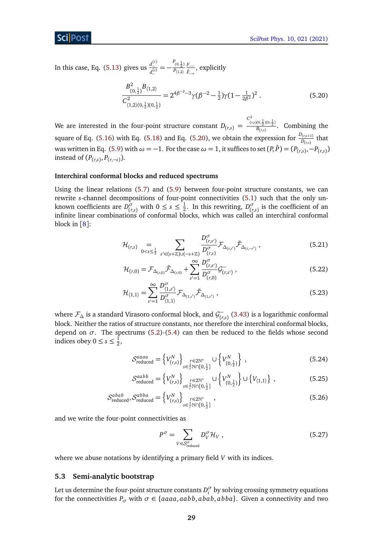In this case, Eq. [\(5.13\)](#page-26-0) gives us  $\frac{d_{\perp}^{(t)}}{d_{\parallel}(s)}$  $\frac{d_{-}^{(t)}}{d_{-}^{(s)}} = -\frac{P_{(0,\frac{1}{2})}}{P_{\langle 1,2\rangle}}$ *F*−−  $\frac{F_{\text{}}}{\bar{F}_{\text{}}},$  explicitly

<span id="page-28-1"></span>
$$
\frac{B_{(0,\frac{1}{2})}^2 B_{(1,2)}}{C_{(1,2)(0,\frac{1}{2})(0,\frac{1}{2})}^2} = 2^{4\beta^{-2}-3} \gamma (\beta^{-2}-\frac{1}{2}) \gamma (1-\frac{1}{2\beta^2})^2.
$$
\n(5.20)

We are interested in the four-point structure constant  $D_{(r,s)} =$  $\frac{C_{(r,s)(0,\frac{1}{2})(0,\frac{1}{2})}^2}{B_{(r,s)}}$ . Combining the square of Eq. [\(5.16\)](#page-27-0) with Eq. [\(5.18\)](#page-27-1) and Eq. [\(5.20\)](#page-28-1), we obtain the expression for  $\frac{D_{(r,s+1)}}{D_{(r,s)}}$  that was written in Eq. [\(5.9\)](#page-26-1) with  $\omega = -1$ . For the case  $\omega = 1$ , it suffices to set  $(P, \bar{P}) = (P_{(r,s)}, -P_{(r,s)})$ instead of  $(P_{(r,s)}, P_{(r,-s)})$ .

#### **Interchiral conformal blocks and reduced spectrums**

Using the linear relations [\(5.7\)](#page-25-1) and [\(5.9\)](#page-26-1) between four-point structure constants, we can rewrite *s*-channel decompositions of four-point connectivities [\(5.1\)](#page-24-2) such that the only unknown coefficients are *D σ*  $\int_{(r,s)}^{\sigma}$  with  $0 \leq s \leq \frac{1}{2}$  $\frac{1}{2}$ . In this rewriting,  $D_{(r)}^{\sigma}$  $\int_{(r,s)}^{\sigma}$  is the coefficient of an infinite linear combinations of conformal blocks, which was called an interchiral conformal block in [[8](#page-35-2)]:

$$
\mathcal{H}_{(r,s)} = \sum_{0 < s \leq \frac{1}{2}} \sum_{s' \in (s + \mathbb{Z}) \cup (-s + \mathbb{Z})} \frac{D^{\sigma}_{(r,s')}}{D^{\sigma}_{(r,s)}} \mathcal{F}_{\Delta_{(r,s')}} \bar{\mathcal{F}}_{\Delta_{(r,-s')}} \,, \tag{5.21}
$$

$$
\mathcal{H}_{(r,0)} = \mathcal{F}_{\Delta_{(r,0)}} \bar{\mathcal{F}}_{\Delta_{(r,0)}} + \sum_{s'=1}^{\infty} \frac{D^{\sigma}_{(r,s')}}{D^{\sigma}_{(r,0)}} \mathcal{G}^{-}_{(r,s')} \,, \tag{5.22}
$$

$$
\mathcal{H}_{\langle 1,1\rangle} = \sum_{s'=1}^{\infty} \frac{D_{\langle 1,s'\rangle}^{\sigma}}{D_{\langle 1,1\rangle}^{\sigma}} \mathcal{F}_{\Delta_{\langle 1,s'\rangle}} \bar{\mathcal{F}}_{\Delta_{\langle 1,s'\rangle}} \,, \tag{5.23}
$$

where  $\mathcal{F}_\Delta$  is a standard Virasoro conformal block, and  $\mathcal{G}^-_{(r)}$  $\overline{(r,s)}$  [\(3.43\)](#page-18-1) is a logarithmic conformal block. Neither the ratios of structure constants, nor therefore the interchiral conformal blocks, depend on  $\sigma$ . The spectrums [\(5.2\)](#page-24-3)-[\(5.4\)](#page-24-4) can then be reduced to the fields whose second indices obey  $0 \leq s \leq \frac{1}{2}$  $\frac{1}{2}$ ,

$$
\mathcal{S}_{reduced}^{aaaa} = \left\{ V_{(r,s)}^N \right\}_{s \in \frac{r}{r} \text{N} \cap [0, \frac{1}{2}]} \cup \left\{ V_{(0, \frac{1}{2})}^N \right\}, \tag{5.24}
$$

$$
S_{reduced}^{aabb} = \left\{ V_{(r,s)}^N \right\}_{s \in \frac{2}{r} \mathbb{N} \cap [0, \frac{1}{2}]} \cup \left\{ V_{(0, \frac{1}{2})}^N \right\} \cup \left\{ V_{(1,1)} \right\}, \tag{5.25}
$$

$$
S_{reduced}^{abab}, S_{reduced}^{abba} = \left\{ V_{(r,s)}^N \right\}_{s \in \frac{1}{r} \mathbb{N} \cap [0, \frac{1}{2}]} ,
$$
\n(5.26)

and we write the four-point connectivities as

$$
P^{\sigma} = \sum_{V \in S_{reduced}^{\sigma}} D_V^{\sigma} \mathcal{H}_V , \qquad (5.27)
$$

where we abuse notations by identifying a primary field *V* with its indices.

#### <span id="page-28-0"></span>**5.3 Semi-analytic bootstrap**

Let us determine the four-point structure constants  $D_i^{\sigma}$  by solving crossing symmetry equations for the connectivities  $P_{\sigma}$  with  $\sigma \in \{aaaa, aabb, abab, abba\}$ . Given a connectivity and two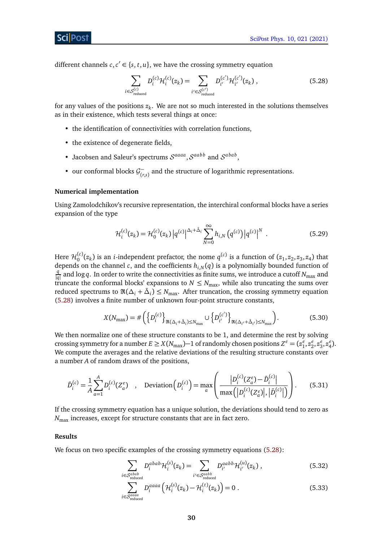different channels  $c, c' \in \{s, t, u\}$ , we have the crossing symmetry equation

<span id="page-29-0"></span>
$$
\sum_{i \in S_{reduced}^{(c)}} D_i^{(c)} \mathcal{H}_i^{(c)}(z_k) = \sum_{i' \in S_{reduced}^{(c')}} D_{i'}^{(c')} \mathcal{H}_{i'}^{(c')}(z_k) ,
$$
 (5.28)

for any values of the positions  $z_k$ . We are not so much interested in the solutions themselves as in their existence, which tests several things at once:

- the identification of connectivities with correlation functions,
- the existence of degenerate fields,
- Jacobsen and Saleur's spectrums  $S^{aaaa}$ ,  $S^{aabb}$  and  $S^{abab}$ ,
- our conformal blocks  $G_{\alpha}^ \int_{(r,s)}^{\infty}$  and the structure of logarithmic representations.

#### **Numerical implementation**

Using Zamolodchikov's recursive representation, the interchiral conformal blocks have a series expansion of the type

$$
\mathcal{H}_i^{(c)}(z_k) = \mathcal{H}_0^{(c)}(z_k) |q^{(c)}|^{\Delta_i + \bar{\Delta}_i} \sum_{N=0}^{\infty} h_{i,N}(q^{(c)}) |q^{(c)}|^N . \qquad (5.29)
$$

Here  $\mathcal{H}_0^{(c)}(z_k)$  is an *i*-independent prefactor, the nome  $q^{(c)}$  is a function of  $(z_1, z_2, z_3, z_4)$  that depends on the channel *c*, and the coefficients *hi*,*<sup>N</sup>* (*q*) is a polynomially bounded function of  $\frac{q}{|q|}$  and log *q*. In order to write the connectivities as finite sums, we introduce a cutoff *N*<sub>max</sub> and truncate the conformal blocks' expansions to  $N \leq N_{\text{max}}$ , while also truncating the sums over reduced spectrums to  $\Re(\Delta_i + \bar{\Delta}_i) \leq N_{\max}$ . After truncation, the crossing symmetry equation [\(5.28\)](#page-29-0) involves a finite number of unknown four-point structure constants,

$$
X(N_{\text{max}}) = \#\left(\left\{D_i^{(c)}\right\}_{\Re(\Delta_i + \bar{\Delta}_i) \le N_{\text{max}}} \cup \left\{D_{i'}^{(c')}\right\}_{\Re(\Delta_{i'} + \bar{\Delta}_{i'}) \le N_{\text{max}}}\right).
$$
(5.30)

We then normalize one of these structure constants to be 1, and determine the rest by solving crossing symmetry for a number  $E \ge X(N_{\text{max}}) - 1$  of randomly chosen positions  $Z^e = (z_1^e, z_2^e, z_3^e, z_4^e)$ . We compute the averages and the relative deviations of the resulting structure constants over a number *A* of random draws of the positions,

$$
\bar{D}_{i}^{(c)} = \frac{1}{A} \sum_{a=1}^{A} D_{i}^{(c)}(Z_{a}^{e}) \quad , \quad \text{Deviation}\left(D_{i}^{(c)}\right) = \max_{a} \left(\frac{\left|D_{i}^{(c)}(Z_{a}^{e}) - \bar{D}_{i}^{(c)}\right|}{\max\left(\left|D_{i}^{(c)}(Z_{a}^{e})\right|, \left|\bar{D}_{i}^{(c)}\right|\right)}\right). \tag{5.31}
$$

If the crossing symmetry equation has a unique solution, the deviations should tend to zero as *N*max increases, except for structure constants that are in fact zero.

#### **Results**

We focus on two specific examples of the crossing symmetry equations  $(5.28)$ :

<span id="page-29-1"></span>
$$
\sum_{i \in S_{reduced}^{abab}} D_i^{abab} \mathcal{H}_i^{(s)}(z_k) = \sum_{i' \in S_{reduced}^{aabb}} D_{i'}^{aabb} \mathcal{H}_{i'}^{(u)}(z_k) ,
$$
 (5.32)

<span id="page-29-2"></span>
$$
\sum_{i \in \mathcal{S}_{reduced}^{aaaa}} D_i^{aaaa} \left( \mathcal{H}_i^{(s)}(z_k) - \mathcal{H}_i^{(t)}(z_k) \right) = 0 \tag{5.33}
$$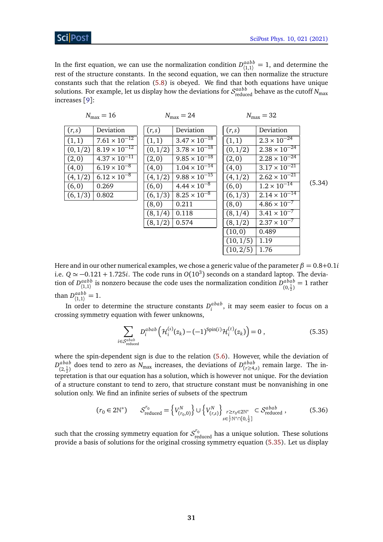In the first equation, we can use the normalization condition  $D_{(1,1)}^{aabb} = 1$ , and determine the rest of the structure constants. In the second equation, we can then normalize the structure constants such that the relation [\(5.8\)](#page-26-2) is obeyed. We find that both equations have unique solutions. For example, let us display how the deviations for  $\mathcal{S}^{aabb}_{\text{reduced}}$  behave as the cutoff  $N_{\text{max}}$ increases [[9](#page-35-3)]:

| the contract of the contract of the contract of |
|-------------------------------------------------|
|                                                 |

$$
N_{\text{max}} = 16 \qquad N_{\text{max}} = 24 \qquad N_{\text{max}} = 32
$$

| Deviation                                |
|------------------------------------------|
| $1\overline{2}$<br>$7.61 \times 10^{-7}$ |
| $8.19 \times 10^{-7}$                    |
| $4.37 \times 10^{-11}$                   |
| $6.19 \times 10^{-7}$                    |
| $6.12 \times 10^{-7}$                    |
| 0.269                                    |
| 0.802                                    |
|                                          |

| (r,s)   | Deviation                    |
|---------|------------------------------|
| (1,1)   | $3.47 \times 10^{-18}$       |
| (0,1/2) | -18<br>$3.78 \times 10^{-7}$ |
| (2,0)   | 18<br>$9.85 \times 10^{-7}$  |
| (4,0)   | -14<br>$1.04 \times 10^{-7}$ |
| (4,1/2) | 15<br>$9.88 \times 10^{-7}$  |
| (6, 0)  | -8<br>$4.44 \times 10^{-7}$  |
| (6,1/3) | $8.25 \times 10^{-8}$        |
| (8, 0)  | 0.211                        |
| (8,1/4) | 0.118                        |
| (8,1/2) | 0.574                        |
|         |                              |
|         |                              |

<span id="page-30-1"></span>

| $(r,s)$    | Deviation              |
|------------|------------------------|
| $(1,1)$    | $2.3 \times 10^{-24}$  |
| $(0,1/2)$  | $2.38 \times 10^{-24}$ |
| $(2,0)$    | $2.28 \times 10^{-24}$ |
| $(4,0)$    | $3.17 \times 10^{-21}$ |
| $(4,1/2)$  | $2.62 \times 10^{-21}$ |
| $(6,0)$    | $1.2 \times 10^{-14}$  |
| $(6,1/3)$  | $2.14 \times 10^{-14}$ |
| $(8,0)$    | $4.86 \times 10^{-7}$  |
| $(8,1/4)$  | $3.41 \times 10^{-7}$  |
| $(10,0)$   | $0.489$                |
| $(10,1/5)$ | $1.19$                 |
| $(10,2/5)$ | $1.76$                 |

Here and in our other numerical examples, we chose a generic value of the parameter  $\beta = 0.8+0.1i$ i.e.  $Q$   $\simeq$  −0.121 + 1.725*i*. The code runs in  $O(10^3)$  seconds on a standard laptop. The deviation of  $D_{(1,1)}^{aabb}$  is nonzero because the code uses the normalization condition  $D_{(0,\frac{1}{2})}^{abab} = 1$  rather than  $D_{\langle 1,1\rangle}^{aabb}=1$ .

In order to determine the structure constants  $D_i^{abab}$ , it may seem easier to focus on a crossing symmetry equation with fewer unknowns,

<span id="page-30-0"></span>
$$
\sum_{i \in S_{reduced}^{abab}} D_i^{abab} \left( \mathcal{H}_i^{(s)}(z_k) - (-1)^{\text{Spin}(i)} \mathcal{H}_i^{(t)}(z_k) \right) = 0 ,
$$
 (5.35)

where the spin-dependent sign is due to the relation [\(5.6\)](#page-25-2). However, while the deviation of  $D_{(2,\frac{1}{2})}^{abab}$  does tend to zero as  $N_{\max}$  increases, the deviations of  $D_{(r\geq 4,s)}^{abab}$  remain large. The in- $(2,\frac{1}{2})$ tepretation is that our equation has a solution, which is however not unique. For the deviation of a structure constant to tend to zero, that structure constant must be nonvanishing in one solution only. We find an infinite series of subsets of the spectrum

$$
(r_0 \in 2\mathbb{N}^*) \qquad \mathcal{S}_{reduced}^{r_0} = \left\{ V_{(r_0,0)}^N \right\} \cup \left\{ V_{(r,s)}^N \right\}_{\substack{r \ge r_0 \in 2\mathbb{N}^* \\ s \in \frac{1}{r} \mathbb{N}^* \cap [0,\frac{1}{2}]} \subset \mathcal{S}_{reduced}^{abab} \,, \tag{5.36}
$$

such that the crossing symmetry equation for  $S_{reduced}^{r_0}$  has a unique solution. These solutions provide a basis of solutions for the original crossing symmetry equation [\(5.35\)](#page-30-0). Let us display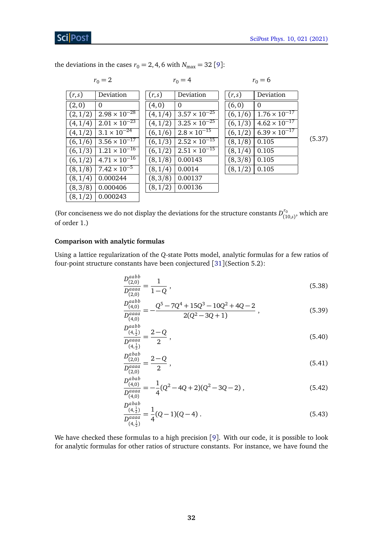| $(r,s)$   | Deviation              | $(r,s)$   | Deviation              | $(r,s)$   | Deviation              |
|-----------|------------------------|-----------|------------------------|-----------|------------------------|
| $(2,0)$   | $0$                    | $(4,0)$   | $0$                    | $(6,0)$   | $0$                    |
| $(2,1/2)$ | $2.98 \times 10^{-28}$ | $(4,1/4)$ | $3.57 \times 10^{-25}$ | $(6,1/6)$ | $1.76 \times 10^{-17}$ |
| $(4,1/4)$ | $2.01 \times 10^{-23}$ | $(4,1/2)$ | $3.25 \times 10^{-25}$ | $(6,1/6)$ | $1.76 \times 10^{-17}$ |
| $(4,1/2)$ | $3.1 \times 10^{-24}$  | $(6,1/6)$ | $2.8 \times 10^{-15}$  | $(6,1/2)$ | $6.39 \times 10^{-17}$ |
| $(6,1/6)$ | $3.56 \times 10^{-17}$ | $(6,1/3)$ | $2.52 \times 10^{-15}$ | $(8,1/8)$ | $0.105$                |
| $(6,1/2)$ | $4.71 \times 10^{-16}$ | $(6,1/2)$ | $2.51 \times 10^{-15}$ | $(8,1/4)$ | $0.105$                |
| $(8,1/8)$ | $7.42 \times 10^{-5}$  |           |                        |           |                        |

 $r_0 = 2$   $r_0 = 4$   $r_0 = 6$ 

the deviations in the cases  $r_0 = 2, 4, 6$  with  $N_{\text{max}} = 32$  [[9](#page-35-3)]:

(For conciseness we do not display the deviation for the structure constants 
$$
D_{(10,s)}^{r_0}
$$
, which are of order 1.)

#### **Comparison with analytic formulas**

Using a lattice regularization of the *Q*-state Potts model, analytic formulas for a few ratios of four-point structure constants have been conjectured [[31](#page-36-8)](Section 5.2):

$$
\frac{D_{(2,0)}^{aabb}}{D_{(2,0)}^{aaaa}} = \frac{1}{1 - Q},
$$
\n(5.38)

$$
\frac{D_{(4,0)}^{aabb}}{D_{(4,0)}^{aaaa}} = -\frac{Q^5 - 7Q^4 + 15Q^3 - 10Q^2 + 4Q - 2}{2(Q^2 - 3Q + 1)},
$$
\n(5.39)

$$
\frac{D_{(4,\frac{1}{2})}^{aabb}}{D_{(4,\frac{1}{2})}^{aaaa}} = \frac{2 - Q}{2} ,
$$
\n(5.40)

$$
\frac{D_{(2,0)}^{abab}}{D_{(2,0)}^{aaaa}} = \frac{2 - Q}{2} \,, \tag{5.41}
$$

$$
\frac{D_{(4,0)}^{abab}}{D_{(4,0)}^{aaaa}} = -\frac{1}{4}(Q^2 - 4Q + 2)(Q^2 - 3Q - 2) ,\qquad (5.42)
$$

$$
\frac{D_{(4,\frac{1}{2})}^{abab}}{D_{(4,\frac{1}{2})}^{aaaa}} = \frac{1}{4}(Q-1)(Q-4) \tag{5.43}
$$

We have checked these formulas to a high precision [[9](#page-35-3)]. With our code, it is possible to look for analytic formulas for other ratios of structure constants. For instance, we have found the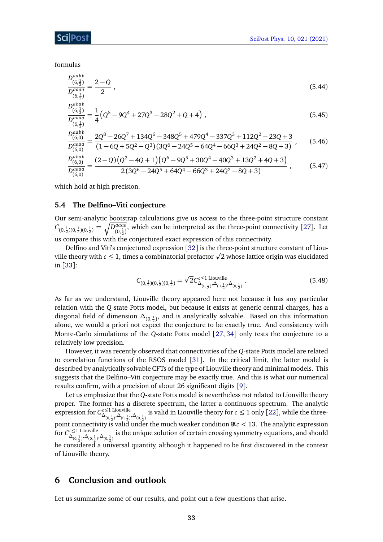formulas

$$
\frac{D_{(6,\frac{1}{3})}^{aabb}}{D_{(6,\frac{1}{3})}^{aaaa}} = \frac{2 - Q}{2} ,
$$
\n(5.44)

$$
\frac{D_{(6,\frac{1}{3})}^{abab}}{D_{(6,\frac{1}{3})}^{aaaa}} = \frac{1}{4} \left( Q^5 - 9Q^4 + 27Q^3 - 28Q^2 + Q + 4 \right) ,\tag{5.45}
$$

$$
\frac{D_{(6,0)}^{aabb}}{D_{(6,0)}^{aaaa}} = \frac{2Q^8 - 26Q^7 + 134Q^6 - 348Q^5 + 479Q^4 - 337Q^3 + 112Q^2 - 23Q + 3}{(1 - 6Q + 5Q^2 - Q^3)(3Q^6 - 24Q^5 + 64Q^4 - 66Q^3 + 24Q^2 - 8Q + 3)},
$$
(5.46)

$$
\frac{D_{(6,0)}^{abab}}{D_{(6,0)}^{aaaa}} = \frac{(2-Q)\left(Q^2 - 4Q + 1\right)\left(Q^6 - 9Q^5 + 30Q^4 - 40Q^3 + 13Q^2 + 4Q + 3\right)}{2(3Q^6 - 24Q^5 + 64Q^4 - 66Q^3 + 24Q^2 - 8Q + 3)},
$$
\n(5.47)

which hold at high precision.

#### <span id="page-32-0"></span>**5.4 The Delfino–Viti conjecture**

Our semi-analytic bootstrap calculations give us access to the three-point structure constant  $C_{(0,\frac{1}{2})(0,\frac{1}{2})(0,\frac{1}{2})} = \sqrt{D_{(0,\frac{1}{2})}^{aaaa}}$ , which can be interpreted as the three-point connectivity [[27](#page-36-4)]. Let us compare this with the conjectured exact expression of this connectivity.

Delfino and Viti's conjectured expression [[32](#page-36-9)] is the three-point structure constant of Liouville theory with *<sup>c</sup>* <sup>≤</sup> 1, times a combinatorial prefactor <sup>p</sup> 2 whose lattice origin was elucidated in [[33](#page-36-10)]:

$$
C_{(0,\frac{1}{2})(0,\frac{1}{2})(0,\frac{1}{2})} = \sqrt{2} C_{\Delta_{(0,\frac{1}{2})},\Delta_{(0,\frac{1}{2})},\Delta_{(0,\frac{1}{2})}}^{\text{c} \le 1 \text{ Liouville}}.
$$
\n(5.48)

As far as we understand, Liouville theory appeared here not because it has any particular relation with the *Q*-state Potts model, but because it exists at generic central charges, has a diagonal field of dimension  $\Delta_{(0, \frac{1}{2})}$ , and is analytically solvable. Based on this information alone, we would a priori not expect the conjecture to be exactly true. And consistency with Monte-Carlo simulations of the *Q*-state Potts model [[27,](#page-36-4) [34](#page-36-11)] only tests the conjecture to a relatively low precision.

However, it was recently observed that connectivities of the *Q*-state Potts model are related to correlation functions of the RSOS model [[31](#page-36-8)]. In the critical limit, the latter model is described by analytically solvable CFTs of the type of Liouville theory and minimal models. This suggests that the Delfino–Viti conjecture may be exactly true. And this is what our numerical results confirm, with a precision of about 26 significant digits [[9](#page-35-3)].

Let us emphasize that the *Q*-state Potts model is nevertheless not related to Liouville theory proper. The former has a discrete spectrum, the latter a continuous spectrum. The analytic expression for *C c*≤1 Liouville  $\Delta_{(0,\frac{1}{2})},\Delta_{(0,\frac{1}{2})},\Delta_{(0,\frac{1}{2})}$  is valid in Liouville theory for *c* ≤ 1 only [[22](#page-35-16)], while the threepoint connectivity is valid under the much weaker condition ℜ*c <* 13. The analytic expression for  $C_{\Lambda}^{c\leq 1}$  Liouville *<sup>c≤1 Llouville*<br> $\Delta_{(0, \frac{1}{2})}$ , $\Delta_{(0, \frac{1}{2})}$ , $\Delta_{(0, \frac{1}{2})}$  is the unique solution of certain crossing symmetry equations, and should</sup> be considered a universal quantity, although it happened to be first discovered in the context of Liouville theory.

# <span id="page-32-1"></span>**6 Conclusion and outlook**

Let us summarize some of our results, and point out a few questions that arise.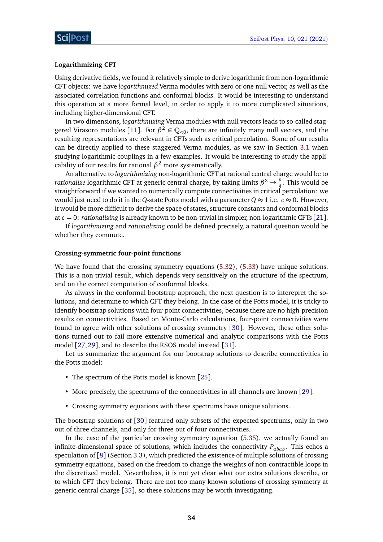#### **Logarithmizing CFT**

Using derivative fields, we found it relatively simple to derive logarithmic from non-logarithmic CFT objects: we have *logarithmized* Verma modules with zero or one null vector, as well as the associated correlation functions and conformal blocks. It would be interesting to understand this operation at a more formal level, in order to apply it to more complicated situations, including higher-dimensional CFT.

In two dimensions, *logarithmizing* Verma modules with null vectors leads to so-called stag-gered Virasoro modules [[11](#page-35-5)]. For  $\beta^2 \in \mathbb{Q}_{< 0}$ , there are infinitely many null vectors, and the resulting representations are relevant in CFTs such as critical percolation. Some of our results can be directly applied to these staggered Verma modules, as we saw in Section [3.1](#page-10-1) when studying logarithmic couplings in a few examples. It would be interesting to study the applicability of our results for rational  $\beta^2$  more systematically.

An alternative to *logarithmizing* non-logarithmic CFT at rational central charge would be to *rationalize* logarithmic CFT at generic central charge, by taking limits  $\beta^2 \rightarrow \frac{p}{q}$  $\frac{p}{q}$ . This would be straightforward if we wanted to numerically compute connectivities in critical percolation: we would just need to do it in the *Q*-state Potts model with a parameter  $Q \approx 1$  i.e.  $c \approx 0$ . However, it would be more difficult to derive the space of states, structure constants and conformal blocks at *c* = 0: *rationalizing* is already known to be non-trivial in simpler, non-logarithmic CFTs [[21](#page-35-15)].

If *logarithmizing* and *rationalizing* could be defined precisely, a natural question would be whether they commute.

#### **Crossing-symmetric four-point functions**

We have found that the crossing symmetry equations [\(5.32\)](#page-29-1), [\(5.33\)](#page-29-2) have unique solutions. This is a non-trivial result, which depends very sensitively on the structure of the spectrum, and on the correct computation of conformal blocks.

As always in the conformal bootstrap approach, the next question is to interepret the solutions, and determine to which CFT they belong. In the case of the Potts model, it is tricky to identify bootstrap solutions with four-point connectivities, because there are no high-precision results on connectivities. Based on Monte-Carlo calculations, four-point connectivities were found to agree with other solutions of crossing symmetry [[30](#page-36-7)]. However, these other solutions turned out to fail more extensive numerical and analytic comparisons with the Potts model [[27,](#page-36-4)[29](#page-36-6)], and to describe the RSOS model instead [[31](#page-36-8)].

Let us summarize the argument for our bootstrap solutions to describe connectivities in the Potts model:

- The spectrum of the Potts model is known [[25](#page-36-2)].
- More precisely, the spectrums of the connectivities in all channels are known [[29](#page-36-6)].
- Crossing symmetry equations with these spectrums have unique solutions.

The bootstrap solutions of [[30](#page-36-7)] featured only subsets of the expected spectrums, only in two out of three channels, and only for three out of four connectivities.

In the case of the particular crossing symmetry equation [\(5.35\)](#page-30-0), we actually found an infinite-dimensional space of solutions, which includes the connectivity  $P_{abab}$ . This echos a speculation of [[8](#page-35-2)] (Section 3.3), which predicted the existence of multiple solutions of crossing symmetry equations, based on the freedom to change the weights of non-contractible loops in the discretized model. Nevertheless, it is not yet clear what our extra solutions describe, or to which CFT they belong. There are not too many known solutions of crossing symmetry at generic central charge [[35](#page-36-12)], so these solutions may be worth investigating.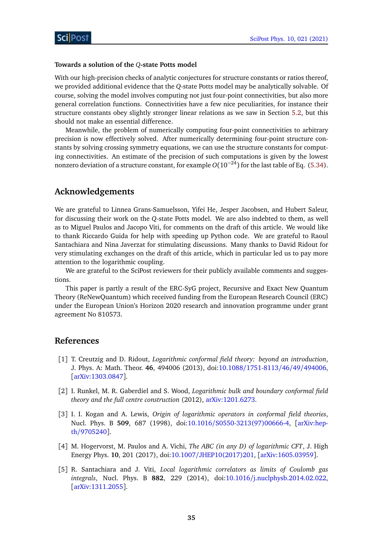#### <span id="page-34-0"></span>**Towards a solution of the** *Q***-state Potts model**

With our high-precision checks of analytic conjectures for structure constants or ratios thereof, we provided additional evidence that the *Q*-state Potts model may be analytically solvable. Of course, solving the model involves computing not just four-point connectivities, but also more general correlation functions. Connectivities have a few nice peculiarities, for instance their structure constants obey slightly stronger linear relations as we saw in Section [5.2,](#page-25-0) but this should not make an essential difference.

Meanwhile, the problem of numerically computing four-point connectivities to arbitrary precision is now effectively solved. After numerically determining four-point structure constants by solving crossing symmetry equations, we can use the structure constants for computing connectivities. An estimate of the precision of such computations is given by the lowest nonzero deviation of a structure constant, for example *<sup>O</sup>*(10−24) for the last table of Eq. [\(5.34\)](#page-30-1).

# **Acknowledgements**

We are grateful to Linnea Grans-Samuelsson, Yifei He, Jesper Jacobsen, and Hubert Saleur, for discussing their work on the *Q*-state Potts model. We are also indebted to them, as well as to Miguel Paulos and Jacopo Viti, for comments on the draft of this article. We would like to thank Riccardo Guida for help with speeding up Python code. We are grateful to Raoul Santachiara and Nina Javerzat for stimulating discussions. Many thanks to David Ridout for very stimulating exchanges on the draft of this article, which in particular led us to pay more attention to the logarithmic coupling.

We are grateful to the SciPost reviewers for their publicly available comments and suggestions.

This paper is partly a result of the ERC-SyG project, Recursive and Exact New Quantum Theory (ReNewQuantum) which received funding from the European Research Council (ERC) under the European Union's Horizon 2020 research and innovation programme under grant agreement No 810573.

## **References**

- <span id="page-34-1"></span>[1] T. Creutzig and D. Ridout, *Logarithmic conformal field theory: beyond an introduction*, J. Phys. A: Math. Theor. **46**, 494006 (2013), doi:10.1088/[1751-8113](https://doi.org/10.1088/1751-8113/46/49/494006)/46/49/494006, [[arXiv:1303.0847](http://arxiv.org/abs/1303.0847)].
- <span id="page-34-2"></span>[2] I. Runkel, M. R. Gaberdiel and S. Wood, *Logarithmic bulk and boundary conformal field theory and the full centre construction* (2012), [arXiv:1201.6273.](https://arxiv.org/abs/1201.6273)
- <span id="page-34-3"></span>[3] I. I. Kogan and A. Lewis, *Origin of logarithmic operators in conformal field theories*, Nucl. Phys. B **509**, 687 (1998), doi:10.1016/[S0550-3213\(97\)00666-4,](https://doi.org/10.1016/S0550-3213(97)00666-4) [[arXiv:hep](http://arxiv.org/abs/hep-th/9705240)th/[9705240](http://arxiv.org/abs/hep-th/9705240)].
- <span id="page-34-4"></span>[4] M. Hogervorst, M. Paulos and A. Vichi, *The ABC (in any D) of logarithmic CFT*, J. High Energy Phys. **10**, 201 (2017), doi:10.1007/[JHEP10\(2017\)201,](https://doi.org/10.1007/JHEP10(2017)201) [[arXiv:1605.03959](http://arxiv.org/abs/1605.03959)].
- <span id="page-34-5"></span>[5] R. Santachiara and J. Viti, *Local logarithmic correlators as limits of Coulomb gas integrals*, Nucl. Phys. B **882**, 229 (2014), doi:10.1016/[j.nuclphysb.2014.02.022,](https://doi.org/10.1016/j.nuclphysb.2014.02.022) [[arXiv:1311.2055](http://arxiv.org/abs/1311.2055)].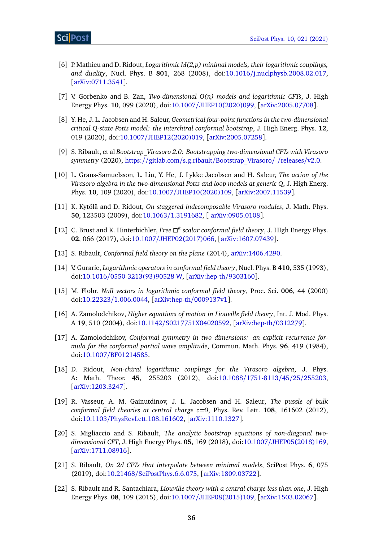- <span id="page-35-0"></span>[6] P. Mathieu and D. Ridout, *Logarithmic M(2,p) minimal models, their logarithmic couplings, and duality*, Nucl. Phys. B **801**, 268 (2008), doi:10.1016/[j.nuclphysb.2008.02.017,](https://doi.org/10.1016/j.nuclphysb.2008.02.017) [[arXiv:0711.3541](http://arxiv.org/abs/0711.3541)].
- <span id="page-35-1"></span>[7] V. Gorbenko and B. Zan, *Two-dimensional O(n) models and logarithmic CFTs*, J. High Energy Phys. **10**, 099 (2020), doi:10.1007/[JHEP10\(2020\)099,](https://doi.org/10.1007/JHEP10(2020)099) [[arXiv:2005.07708](https://arxiv.org/abs/2005.07708)].
- <span id="page-35-2"></span>[8] Y. He, J. L. Jacobsen and H. Saleur, *Geometrical four-point functions in the two-dimensional critical Q-state Potts model: the interchiral conformal bootstrap*, J. High Energ. Phys. **12**, 019 (2020), doi:10.1007/[JHEP12\(2020\)019,](https://doi.org/10.1007/JHEP12(2020)019) [[arXiv:2005.07258](http://arxiv.org/abs/2005.07258)].
- <span id="page-35-3"></span>[9] S. Ribault, et al *Bootstrap\_Virasoro 2.0: Bootstrapping two-dimensional CFTs with Virasoro symmetry* (2020), https://gitlab.com/s.g.ribault/[Bootstrap\\_Virasoro](https://gitlab.com/s.g.ribault/Bootstrap_Virasoro/-/releases/v2.0)/-/releases/v2.0.
- <span id="page-35-4"></span>[10] L. Grans-Samuelsson, L. Liu, Y. He, J. Lykke Jacobsen and H. Saleur, *The action of the Virasoro algebra in the two-dimensional Potts and loop models at generic Q*, J. High Energ. Phys. **10**, 109 (2020), doi:10.1007/[JHEP10\(2020\)109,](https://doi.org/10.1007/JHEP10(2020)109) [[arXiv:2007.11539](http://arxiv.org/abs/2007.11539)].
- <span id="page-35-5"></span>[11] K. Kytölä and D. Ridout, *On staggered indecomposable Virasoro modules*, J. Math. Phys. **50**, 123503 (2009), doi:10.1063/[1.3191682,](https://doi.org/10.1063/1.3191682) [ [arXiv:0905.0108](http://arxiv.org/abs/0905.0108)].
- <span id="page-35-6"></span>[12] C. Brust and K. Hinterbichler, *Free k scalar conformal field theory*, J. HIgh Energy Phys. **02**, 066 (2017), doi:10.1007/[JHEP02\(2017\)066,](https://doi.org/10.1007/JHEP02(2017)066) [[arXiv:1607.07439](http://arxiv.org/abs/1607.07439)].
- <span id="page-35-7"></span>[13] S. Ribault, *Conformal field theory on the plane* (2014), [arXiv:1406.4290.](https://arxiv.org/abs/1406.4290)
- <span id="page-35-8"></span>[14] V. Gurarie, *Logarithmic operators in conformal field theory*, Nucl. Phys. B **410**, 535 (1993), doi:10.1016/[0550-3213\(93\)90528-W,](https://doi.org/10.1016/0550-3213(93)90528-W) [[arXiv:hep-th](http://arxiv.org/abs/hep-th/9303160)/9303160].
- <span id="page-35-9"></span>[15] M. Flohr, *Null vectors in logarithmic conformal field theory*, Proc. Sci. **006**, 44 (2000) doi:10.22323/[1.006.0044,](https://doi.org/10.22323/1.006.0044) [[arXiv:hep-th](http://arxiv.org/abs/arXiv:hep-th/0009137v1)/0009137v1].
- <span id="page-35-10"></span>[16] A. Zamolodchikov, *Higher equations of motion in Liouville field theory*, Int. J. Mod. Phys. A **19**, 510 (2004), doi:10.1142/[S0217751X04020592,](https://doi.org/10.1142/S0217751X04020592) [[arXiv:hep-th](http://arxiv.org/abs/hep-th/0312279)/0312279].
- <span id="page-35-11"></span>[17] A. Zamolodchikov, *Conformal symmetry in two dimensions: an explicit recurrence formula for the conformal partial wave amplitude*, Commun. Math. Phys. **96**, 419 (1984), doi:10.1007/[BF01214585.](https://doi.org/10.1007/BF01214585)
- <span id="page-35-12"></span>[18] D. Ridout, *Non-chiral logarithmic couplings for the Virasoro algebra*, J. Phys. A: Math. Theor. **45**, 255203 (2012), doi:10.1088/[1751-8113](https://doi.org/10.1088/1751-8113/45/25/255203)/45/25/255203, [[arXiv:1203.3247](http://arxiv.org/abs/1203.3247)].
- <span id="page-35-13"></span>[19] R. Vasseur, A. M. Gainutdinov, J. L. Jacobsen and H. Saleur, *The puzzle of bulk conformal field theories at central charge*  $c=0$ *, Phys. Rev. Lett. 108, 161602 (2012),* doi:10.1103/[PhysRevLett.108.161602,](https://doi.org/10.1103/PhysRevLett.108.161602) [[arXiv:1110.1327](http://arxiv.org/abs/1110.1327)].
- <span id="page-35-14"></span>[20] S. Migliaccio and S. Ribault, *The analytic bootstrap equations of non-diagonal twodimensional CFT*, J. High Energy Phys. **05**, 169 (2018), doi:10.1007/[JHEP05\(2018\)169,](https://doi.org/10.1007/JHEP05(2018)169) [[arXiv:1711.08916](http://arxiv.org/abs/1711.08916)].
- <span id="page-35-15"></span>[21] S. Ribault, *On 2d CFTs that interpolate between minimal models*, SciPost Phys. **6**, 075 (2019), doi:10.21468/[SciPostPhys.6.6.075,](https://doi.org/10.21468/SciPostPhys.6.6.075) [[arXiv:1809.03722](http://arxiv.org/abs/1809.03722)].
- <span id="page-35-16"></span>[22] S. Ribault and R. Santachiara, *Liouville theory with a central charge less than one*, J. High Energy Phys. **08**, 109 (2015), doi:10.1007/[JHEP08\(2015\)109,](https://doi.org/10.1007/JHEP08(2015)109) [[arXiv:1503.02067](http://arxiv.org/abs/1503.02067)].